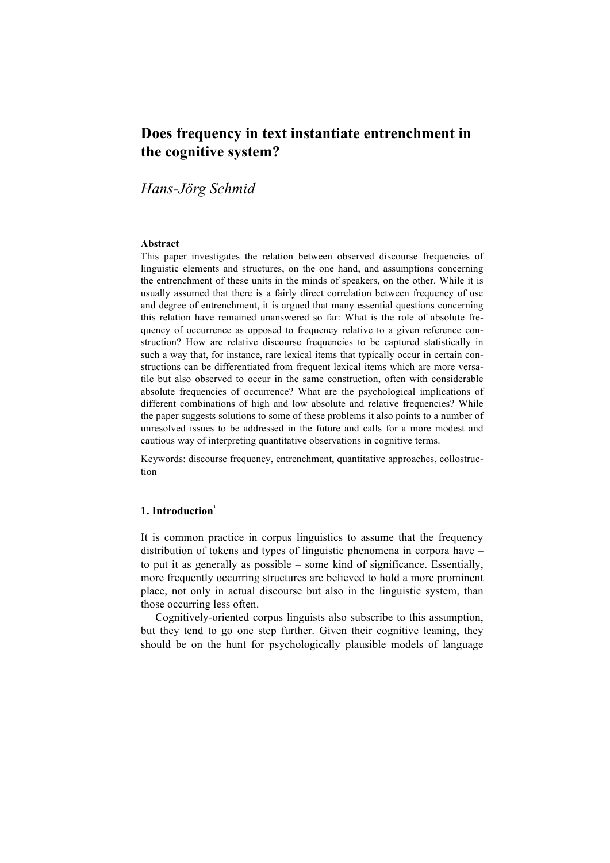# **Does frequency in text instantiate entrenchment in the cognitive system?**

*Hans-Jörg Schmid*

#### **Abstract**

This paper investigates the relation between observed discourse frequencies of linguistic elements and structures, on the one hand, and assumptions concerning the entrenchment of these units in the minds of speakers, on the other. While it is usually assumed that there is a fairly direct correlation between frequency of use and degree of entrenchment, it is argued that many essential questions concerning this relation have remained unanswered so far: What is the role of absolute frequency of occurrence as opposed to frequency relative to a given reference construction? How are relative discourse frequencies to be captured statistically in such a way that, for instance, rare lexical items that typically occur in certain constructions can be differentiated from frequent lexical items which are more versatile but also observed to occur in the same construction, often with considerable absolute frequencies of occurrence? What are the psychological implications of different combinations of high and low absolute and relative frequencies? While the paper suggests solutions to some of these problems it also points to a number of unresolved issues to be addressed in the future and calls for a more modest and cautious way of interpreting quantitative observations in cognitive terms.

Keywords: discourse frequency, entrenchment, quantitative approaches, collostruction

# 1. Introduction<sup>1</sup>

It is common practice in corpus linguistics to assume that the frequency distribution of tokens and types of linguistic phenomena in corpora have – to put it as generally as possible – some kind of significance. Essentially, more frequently occurring structures are believed to hold a more prominent place, not only in actual discourse but also in the linguistic system, than those occurring less often.

Cognitively-oriented corpus linguists also subscribe to this assumption, but they tend to go one step further. Given their cognitive leaning, they should be on the hunt for psychologically plausible models of language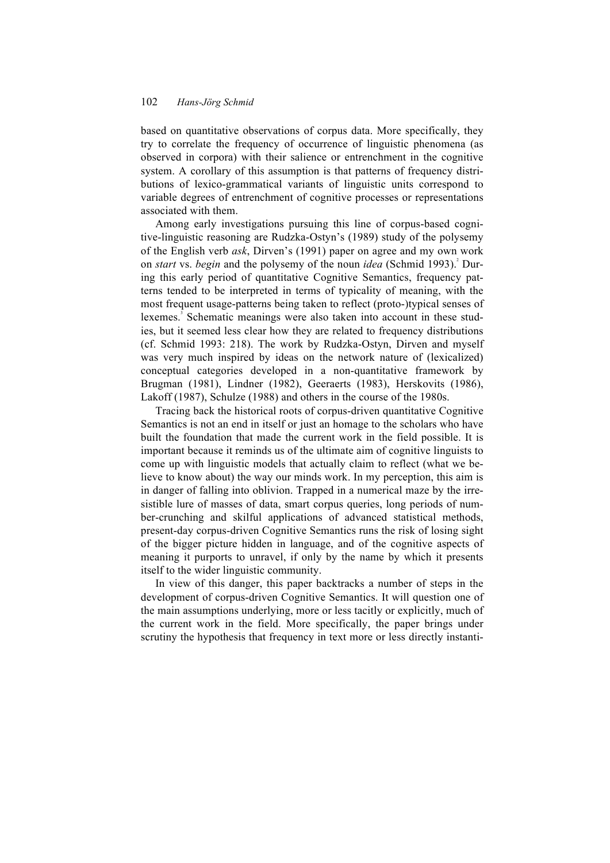based on quantitative observations of corpus data. More specifically, they try to correlate the frequency of occurrence of linguistic phenomena (as observed in corpora) with their salience or entrenchment in the cognitive system. A corollary of this assumption is that patterns of frequency distributions of lexico-grammatical variants of linguistic units correspond to variable degrees of entrenchment of cognitive processes or representations associated with them.

Among early investigations pursuing this line of corpus-based cognitive-linguistic reasoning are Rudzka-Ostyn's (1989) study of the polysemy of the English verb *ask*, Dirven's (1991) paper on agree and my own work on *start* vs. *begin* and the polysemy of the noun *idea* (Schmid 1993).<sup>2</sup> During this early period of quantitative Cognitive Semantics, frequency patterns tended to be interpreted in terms of typicality of meaning, with the most frequent usage-patterns being taken to reflect (proto-)typical senses of lexemes.<sup>3</sup> Schematic meanings were also taken into account in these studies, but it seemed less clear how they are related to frequency distributions (cf. Schmid 1993: 218). The work by Rudzka-Ostyn, Dirven and myself was very much inspired by ideas on the network nature of (lexicalized) conceptual categories developed in a non-quantitative framework by Brugman (1981), Lindner (1982), Geeraerts (1983), Herskovits (1986), Lakoff (1987), Schulze (1988) and others in the course of the 1980s.

Tracing back the historical roots of corpus-driven quantitative Cognitive Semantics is not an end in itself or just an homage to the scholars who have built the foundation that made the current work in the field possible. It is important because it reminds us of the ultimate aim of cognitive linguists to come up with linguistic models that actually claim to reflect (what we believe to know about) the way our minds work. In my perception, this aim is in danger of falling into oblivion. Trapped in a numerical maze by the irresistible lure of masses of data, smart corpus queries, long periods of number-crunching and skilful applications of advanced statistical methods, present-day corpus-driven Cognitive Semantics runs the risk of losing sight of the bigger picture hidden in language, and of the cognitive aspects of meaning it purports to unravel, if only by the name by which it presents itself to the wider linguistic community.

In view of this danger, this paper backtracks a number of steps in the development of corpus-driven Cognitive Semantics. It will question one of the main assumptions underlying, more or less tacitly or explicitly, much of the current work in the field. More specifically, the paper brings under scrutiny the hypothesis that frequency in text more or less directly instanti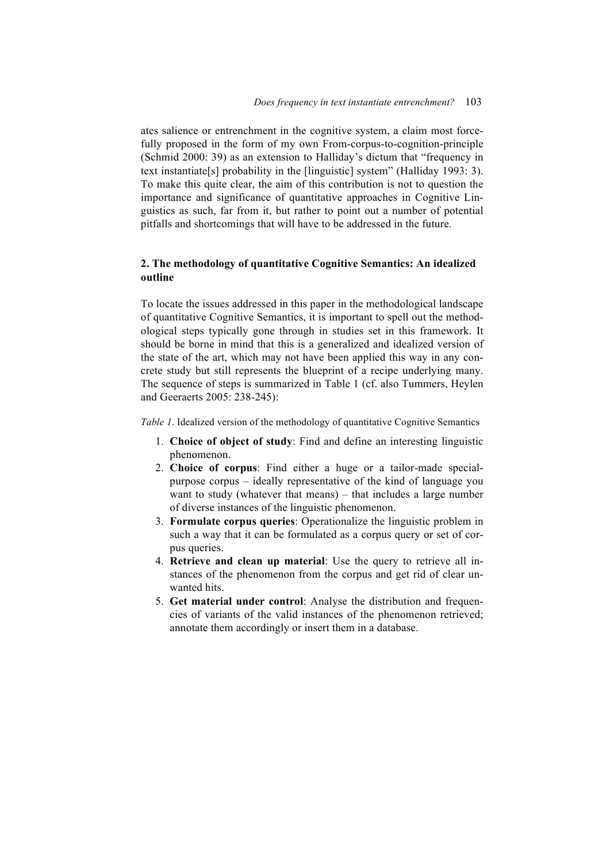ates salience or entrenchment in the cognitive system, a claim most forcefully proposed in the form of my own From-corpus-to-cognition-principle (Schmid 2000: 39) as an extension to Halliday's dictum that "frequency in text instantiate[s] probability in the [linguistic] system" (Halliday 1993: 3). To make this quite clear, the aim of this contribution is not to question the importance and significance of quantitative approaches in Cognitive Linguistics as such, far from it, but rather to point out a number of potential pitfalls and shortcomings that will have to be addressed in the future.

# **2. The methodology of quantitative Cognitive Semantics: An idealized outline**

To locate the issues addressed in this paper in the methodological landscape of quantitative Cognitive Semantics, it is important to spell out the methodological steps typically gone through in studies set in this framework. It should be borne in mind that this is a generalized and idealized version of the state of the art, which may not have been applied this way in any concrete study but still represents the blueprint of a recipe underlying many. The sequence of steps is summarized in Table 1 (cf. also Tummers, Heylen and Geeraerts 2005: 238-245):

*Table 1*. Idealized version of the methodology of quantitative Cognitive Semantics

- 1. **Choice of object of study**: Find and define an interesting linguistic phenomenon.
- 2. **Choice of corpus**: Find either a huge or a tailor-made specialpurpose corpus – ideally representative of the kind of language you want to study (whatever that means) – that includes a large number of diverse instances of the linguistic phenomenon.
- 3. **Formulate corpus queries**: Operationalize the linguistic problem in such a way that it can be formulated as a corpus query or set of corpus queries.
- 4. **Retrieve and clean up material**: Use the query to retrieve all instances of the phenomenon from the corpus and get rid of clear unwanted hits.
- 5. **Get material under control**: Analyse the distribution and frequencies of variants of the valid instances of the phenomenon retrieved; annotate them accordingly or insert them in a database.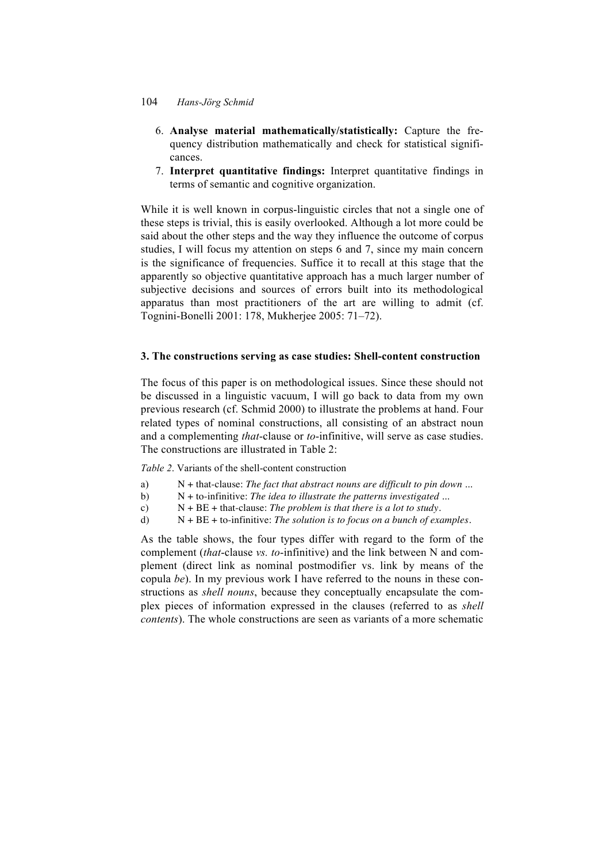- 6. **Analyse material mathematically/statistically:** Capture the frequency distribution mathematically and check for statistical significances.
- 7. **Interpret quantitative findings:** Interpret quantitative findings in terms of semantic and cognitive organization.

While it is well known in corpus-linguistic circles that not a single one of these steps is trivial, this is easily overlooked. Although a lot more could be said about the other steps and the way they influence the outcome of corpus studies, I will focus my attention on steps 6 and 7, since my main concern is the significance of frequencies. Suffice it to recall at this stage that the apparently so objective quantitative approach has a much larger number of subjective decisions and sources of errors built into its methodological apparatus than most practitioners of the art are willing to admit (cf. Tognini-Bonelli 2001: 178, Mukherjee 2005: 71–72).

#### **3. The constructions serving as case studies: Shell-content construction**

The focus of this paper is on methodological issues. Since these should not be discussed in a linguistic vacuum, I will go back to data from my own previous research (cf. Schmid 2000) to illustrate the problems at hand. Four related types of nominal constructions, all consisting of an abstract noun and a complementing *that*-clause or *to*-infinitive, will serve as case studies. The constructions are illustrated in Table 2:

*Table 2*. Variants of the shell-content construction

- a) N + that-clause: *The fact that abstract nouns are difficult to pin down ...*
- b) N + to-infinitive: *The idea to illustrate the patterns investigated ...*
- c) N + BE + that-clause: *The problem is that there is a lot to study.*
- d) N + BE + to-infinitive: *The solution is to focus on a bunch of examples.*

As the table shows, the four types differ with regard to the form of the complement (*that*-clause *vs. to*-infinitive) and the link between N and complement (direct link as nominal postmodifier vs. link by means of the copula *be*). In my previous work I have referred to the nouns in these constructions as *shell nouns*, because they conceptually encapsulate the complex pieces of information expressed in the clauses (referred to as *shell contents*). The whole constructions are seen as variants of a more schematic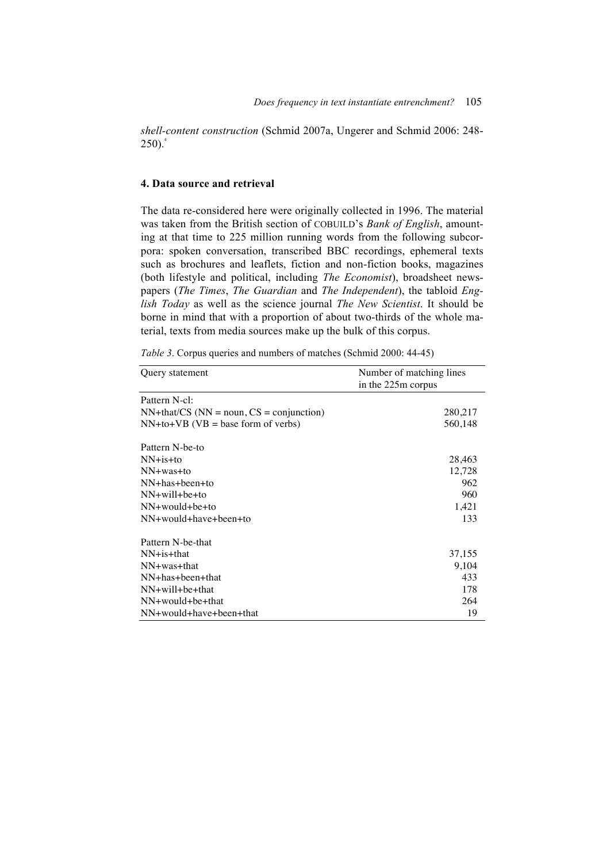*shell-content construction* (Schmid 2007a, Ungerer and Schmid 2006: 248-  $250$ ).<sup>4</sup>

#### **4. Data source and retrieval**

The data re-considered here were originally collected in 1996. The material was taken from the British section of COBUILD's *Bank of English*, amounting at that time to 225 million running words from the following subcorpora: spoken conversation, transcribed BBC recordings, ephemeral texts such as brochures and leaflets, fiction and non-fiction books, magazines (both lifestyle and political, including *The Economist*), broadsheet newspapers (*The Times*, *The Guardian* and *The Independent*), the tabloid *English Today* as well as the science journal *The New Scientist*. It should be borne in mind that with a proportion of about two-thirds of the whole material, texts from media sources make up the bulk of this corpus.

*Table 3*. Corpus queries and numbers of matches (Schmid 2000: 44-45)

| Query statement                                | Number of matching lines<br>in the 225m corpus |  |  |
|------------------------------------------------|------------------------------------------------|--|--|
| Pattern N-cl:                                  |                                                |  |  |
| $NN+that/CS$ ( $NN = noun, CS = conjunction$ ) | 280,217                                        |  |  |
| $NN+to+VB$ (VB = base form of verbs)           | 560,148                                        |  |  |
| Pattern N-be-to                                |                                                |  |  |
| $NN+is+to$                                     | 28,463                                         |  |  |
| $NN+was+to$                                    | 12,728                                         |  |  |
| NN+has+been+to                                 | 962                                            |  |  |
| $NN+will+be+to$                                | 960                                            |  |  |
| $NN+$ would+be+to                              | 1,421                                          |  |  |
| $NN+$ would+have+been+to                       | 133                                            |  |  |
| Pattern N-be-that                              |                                                |  |  |
| $NN+$ is+that                                  | 37,155                                         |  |  |
| NN+was+that                                    | 9,104                                          |  |  |
| $NN+has+been+that$                             | 433                                            |  |  |
| $NN+will+be+that$                              | 178                                            |  |  |
| $NN+$ would+be+that                            | 264                                            |  |  |
| NN+would+have+been+that                        | 19                                             |  |  |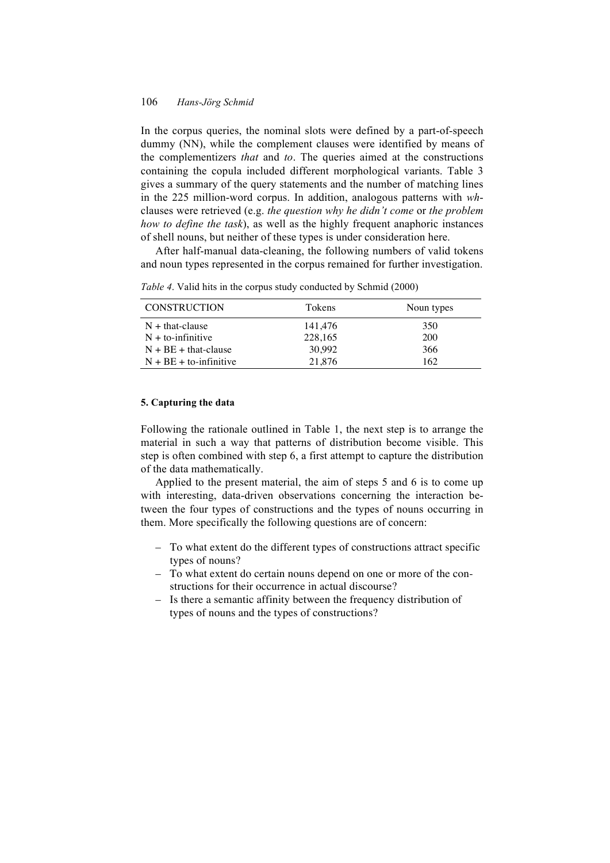In the corpus queries, the nominal slots were defined by a part-of-speech dummy (NN), while the complement clauses were identified by means of the complementizers *that* and *to*. The queries aimed at the constructions containing the copula included different morphological variants. Table 3 gives a summary of the query statements and the number of matching lines in the 225 million-word corpus. In addition, analogous patterns with *wh*clauses were retrieved (e.g. *the question why he didn't come* or *the problem how to define the task*), as well as the highly frequent anaphoric instances of shell nouns, but neither of these types is under consideration here.

After half-manual data-cleaning, the following numbers of valid tokens and noun types represented in the corpus remained for further investigation.

| <b>CONSTRUCTION</b>       | Tokens  | Noun types |
|---------------------------|---------|------------|
| $N + that-clause$         | 141,476 | 350        |
| $N +$ to-infinitive       | 228,165 | 200        |
| $N + BE + that-clause$    | 30.992  | 366        |
| $N + BE + to$ -infinitive | 21,876  | 162        |

*Table 4*. Valid hits in the corpus study conducted by Schmid (2000)

#### **5. Capturing the data**

Following the rationale outlined in Table 1, the next step is to arrange the material in such a way that patterns of distribution become visible. This step is often combined with step 6, a first attempt to capture the distribution of the data mathematically.

Applied to the present material, the aim of steps 5 and 6 is to come up with interesting, data-driven observations concerning the interaction between the four types of constructions and the types of nouns occurring in them. More specifically the following questions are of concern:

- To what extent do the different types of constructions attract specific types of nouns?
- To what extent do certain nouns depend on one or more of the constructions for their occurrence in actual discourse?
- Is there a semantic affinity between the frequency distribution of types of nouns and the types of constructions?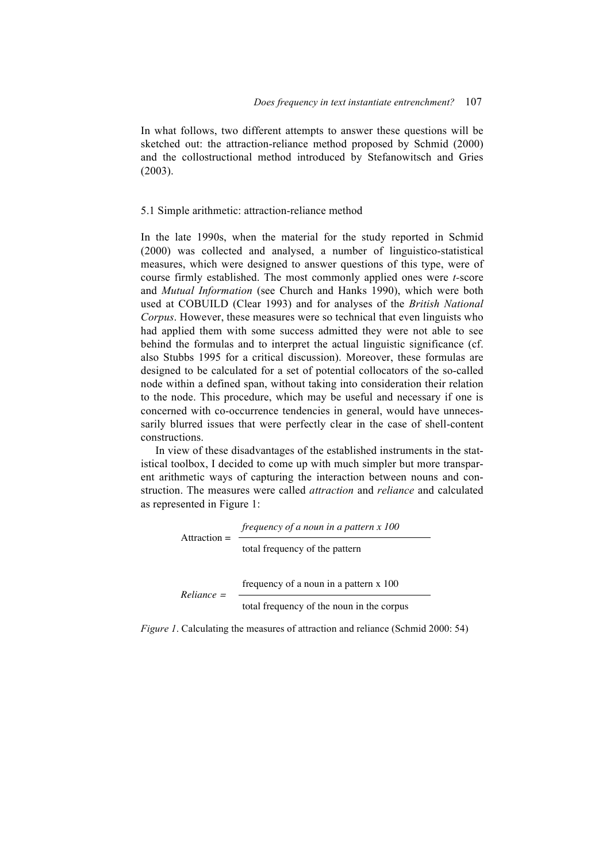In what follows, two different attempts to answer these questions will be sketched out: the attraction-reliance method proposed by Schmid (2000) and the collostructional method introduced by Stefanowitsch and Gries (2003).

#### 5.1 Simple arithmetic: attraction-reliance method

In the late 1990s, when the material for the study reported in Schmid (2000) was collected and analysed, a number of linguistico-statistical measures, which were designed to answer questions of this type, were of course firmly established. The most commonly applied ones were *t-*score and *Mutual Information* (see Church and Hanks 1990), which were both used at COBUILD (Clear 1993) and for analyses of the *British National Corpus*. However, these measures were so technical that even linguists who had applied them with some success admitted they were not able to see behind the formulas and to interpret the actual linguistic significance (cf. also Stubbs 1995 for a critical discussion). Moreover, these formulas are designed to be calculated for a set of potential collocators of the so-called node within a defined span, without taking into consideration their relation to the node. This procedure, which may be useful and necessary if one is concerned with co-occurrence tendencies in general, would have unnecessarily blurred issues that were perfectly clear in the case of shell-content constructions.

In view of these disadvantages of the established instruments in the statistical toolbox, I decided to come up with much simpler but more transparent arithmetic ways of capturing the interaction between nouns and construction. The measures were called *attraction* and *reliance* and calculated as represented in Figure 1:

> *frequency of a noun in a pattern x 100* Attraction = total frequency of the pattern

*Reliance =*

frequency of a noun in a pattern x 100 total frequency of the noun in the corpus

*Figure 1*. Calculating the measures of attraction and reliance (Schmid 2000: 54)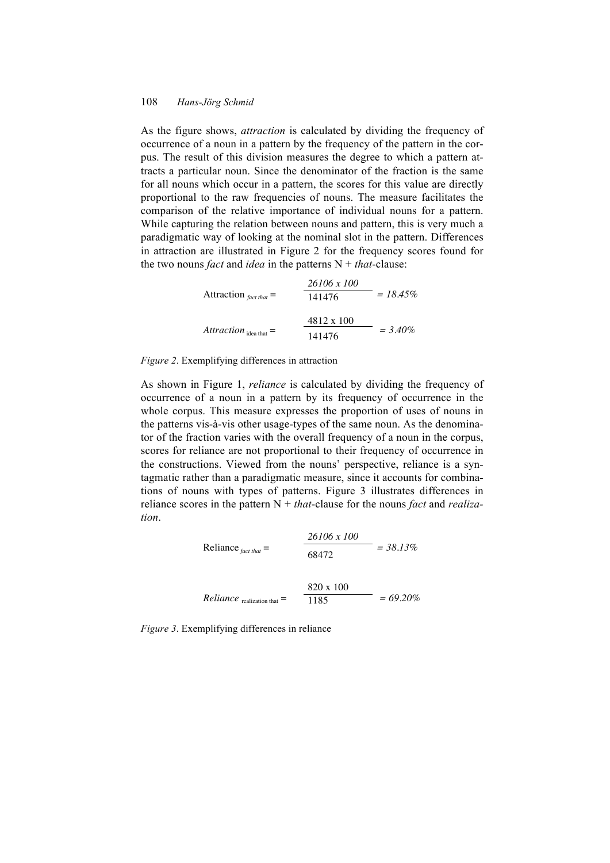As the figure shows, *attraction* is calculated by dividing the frequency of occurrence of a noun in a pattern by the frequency of the pattern in the corpus. The result of this division measures the degree to which a pattern attracts a particular noun. Since the denominator of the fraction is the same for all nouns which occur in a pattern, the scores for this value are directly proportional to the raw frequencies of nouns. The measure facilitates the comparison of the relative importance of individual nouns for a pattern. While capturing the relation between nouns and pattern, this is very much a paradigmatic way of looking at the nominal slot in the pattern. Differences in attraction are illustrated in Figure 2 for the frequency scores found for the two nouns *fact* and *idea* in the patterns  $N + that$ -clause:

> *26106 x 100* Attraction  $_{fact that} = 141476 = 18.45\%$ 4812 x 100 *Attraction*  $_{\text{idea that}} = 3.40\%$

*Figure 2*. Exemplifying differences in attraction

As shown in Figure 1, *reliance* is calculated by dividing the frequency of occurrence of a noun in a pattern by its frequency of occurrence in the whole corpus. This measure expresses the proportion of uses of nouns in the patterns vis-à-vis other usage-types of the same noun. As the denominator of the fraction varies with the overall frequency of a noun in the corpus, scores for reliance are not proportional to their frequency of occurrence in the constructions. Viewed from the nouns' perspective, reliance is a syntagmatic rather than a paradigmatic measure, since it accounts for combinations of nouns with types of patterns. Figure 3 illustrates differences in reliance scores in the pattern N + *that*-clause for the nouns *fact* and *realization*.

> *26106 x 100* Reliance  $f_{\text{fact that}} =$ *= 38.13%* 820 x 100 *Reliance* realization that =  $\frac{1185}{200} = 69.20\%$

*Figure 3*. Exemplifying differences in reliance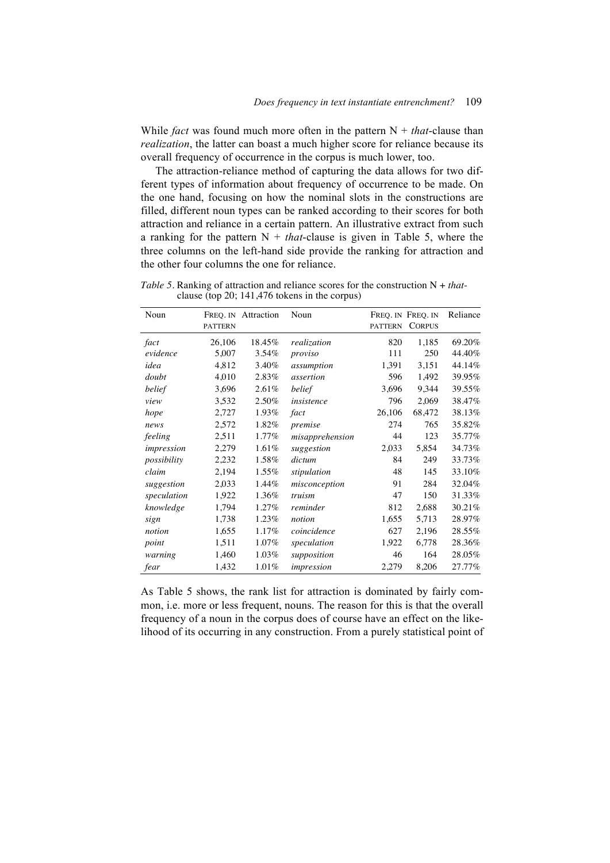While *fact* was found much more often in the pattern  $N + that$ -clause than *realization*, the latter can boast a much higher score for reliance because its overall frequency of occurrence in the corpus is much lower, too.

The attraction-reliance method of capturing the data allows for two different types of information about frequency of occurrence to be made. On the one hand, focusing on how the nominal slots in the constructions are filled, different noun types can be ranked according to their scores for both attraction and reliance in a certain pattern. An illustrative extract from such a ranking for the pattern  $N + that$ -clause is given in Table 5, where the three columns on the left-hand side provide the ranking for attraction and the other four columns the one for reliance.

*Table 5.* Ranking of attraction and reliance scores for the construction N + *that*clause (top 20; 141,476 tokens in the corpus)

| Noun        |                | FREQ. IN Attraction | Noun            |                | FREQ. IN FREQ. IN | Reliance |
|-------------|----------------|---------------------|-----------------|----------------|-------------------|----------|
|             | <b>PATTERN</b> |                     |                 | <b>PATTERN</b> | <b>CORPUS</b>     |          |
| fact        | 26.106         | 18.45%              | realization     | 820            | 1.185             | 69.20%   |
| evidence    | 5,007          | 3.54%               | proviso         | 111            | 250               | 44.40%   |
| idea        | 4,812          | 3.40%               | assumption      | 1,391          | 3,151             | 44.14%   |
| doubt       | 4,010          | 2.83%               | assertion       | 596            | 1,492             | 39.95%   |
| belief      | 3,696          | 2.61%               | belief          | 3,696          | 9,344             | 39.55%   |
| view        | 3,532          | 2.50%               | insistence      | 796            | 2,069             | 38.47%   |
| hope        | 2,727          | 1.93%               | fact            | 26,106         | 68,472            | 38.13%   |
| news        | 2,572          | 1.82%               | premise         | 274            | 765               | 35.82%   |
| feeling     | 2,511          | 1.77%               | misapprehension | 44             | 123               | 35.77%   |
| impression  | 2,279          | 1.61%               | suggestion      | 2,033          | 5,854             | 34.73%   |
| possibility | 2,232          | 1.58%               | dictum          | 84             | 249               | 33.73%   |
| claim       | 2,194          | 1.55%               | stipulation     | 48             | 145               | 33.10%   |
| suggestion  | 2,033          | 1.44%               | misconception   | 91             | 284               | 32.04%   |
| speculation | 1,922          | 1.36%               | truism          | 47             | 150               | 31.33%   |
| knowledge   | 1,794          | 1.27%               | reminder        | 812            | 2,688             | 30.21%   |
| sign        | 1,738          | 1.23%               | notion          | 1,655          | 5,713             | 28.97%   |
| notion      | 1,655          | 1.17%               | coincidence     | 627            | 2,196             | 28.55%   |
| point       | 1,511          | 1.07%               | speculation     | 1,922          | 6,778             | 28.36%   |
| warning     | 1,460          | 1.03%               | supposition     | 46             | 164               | 28.05%   |
| fear        | 1,432          | 1.01%               | impression      | 2,279          | 8,206             | 27.77%   |

As Table 5 shows, the rank list for attraction is dominated by fairly common, i.e. more or less frequent, nouns. The reason for this is that the overall frequency of a noun in the corpus does of course have an effect on the likelihood of its occurring in any construction. From a purely statistical point of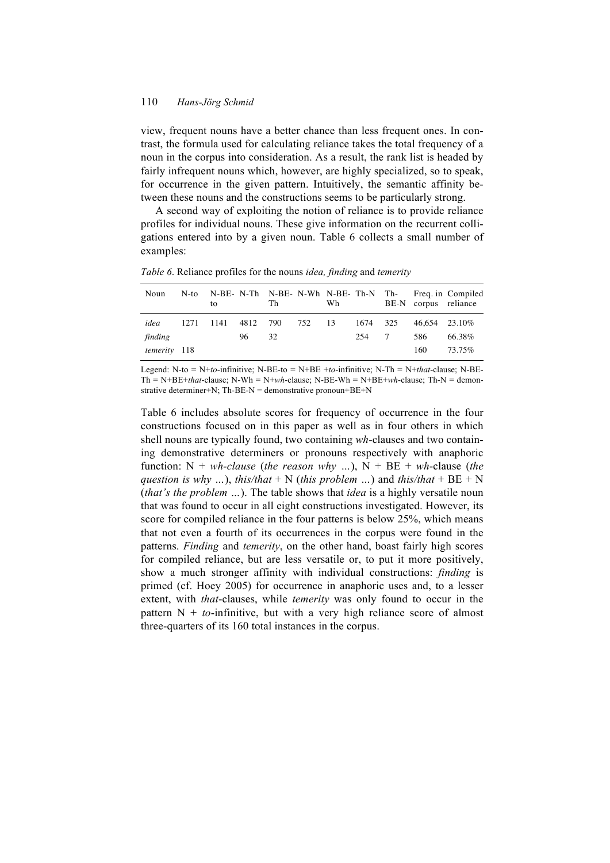view, frequent nouns have a better chance than less frequent ones. In contrast, the formula used for calculating reliance takes the total frequency of a noun in the corpus into consideration. As a result, the rank list is headed by fairly infrequent nouns which, however, are highly specialized, so to speak, for occurrence in the given pattern. Intuitively, the semantic affinity between these nouns and the constructions seems to be particularly strong.

A second way of exploiting the notion of reliance is to provide reliance profiles for individual nouns. These give information on the recurrent colligations entered into by a given noun. Table 6 collects a small number of examples:

| Noun         | N-to  | to   |          | Th. |        | Wh |      |     | BE-N corpus reliance | N-BE- N-Th N-BE- N-Wh N-BE- Th-N Th- Freq. in Compiled |
|--------------|-------|------|----------|-----|--------|----|------|-----|----------------------|--------------------------------------------------------|
| idea         | 12.71 | 1141 | 4812 790 |     | 752 13 |    | 1674 | 325 | 46.654 23.10\%       |                                                        |
| finding      |       |      | 96       | 32  |        |    | 254  | 7   | 586                  | 66.38%                                                 |
| temerity 118 |       |      |          |     |        |    |      |     | 160                  | 73.75%                                                 |

*Table 6*. Reliance profiles for the nouns *idea, finding* and *temerity*

Legend: N-to = N+*to*-infinitive; N-BE-to = N+BE +*to*-infinitive; N-Th = N+*that*-clause; N-BE- $Th = N+BE+that$ -clause;  $N-Wh = N+wh$ -clause;  $N-BE-Wh = N+BE+wh$ -clause;  $Th-N =$ demonstrative determiner+N; Th-BE-N = demonstrative pronoun+BE+N

Table 6 includes absolute scores for frequency of occurrence in the four constructions focused on in this paper as well as in four others in which shell nouns are typically found, two containing *wh-*clauses and two containing demonstrative determiners or pronouns respectively with anaphoric function:  $N + wh-clause$  (*the reason why* ...),  $N + BE + wh-clause$  (*the question is why …*), *this/that* + N (*this problem …*) and *this/that* + BE + N (*that's the problem …*). The table shows that *idea* is a highly versatile noun that was found to occur in all eight constructions investigated. However, its score for compiled reliance in the four patterns is below 25%, which means that not even a fourth of its occurrences in the corpus were found in the patterns. *Finding* and *temerity*, on the other hand, boast fairly high scores for compiled reliance, but are less versatile or, to put it more positively, show a much stronger affinity with individual constructions: *finding* is primed (cf. Hoey 2005) for occurrence in anaphoric uses and, to a lesser extent, with *that*-clauses, while *temerity* was only found to occur in the pattern  $N + to$ -infinitive, but with a very high reliance score of almost three-quarters of its 160 total instances in the corpus.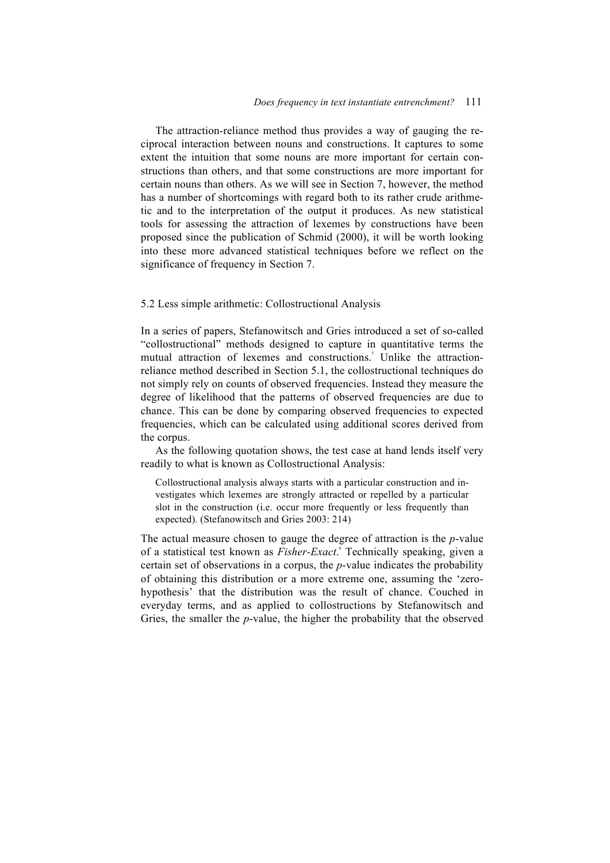The attraction-reliance method thus provides a way of gauging the reciprocal interaction between nouns and constructions. It captures to some extent the intuition that some nouns are more important for certain constructions than others, and that some constructions are more important for certain nouns than others. As we will see in Section 7, however, the method has a number of shortcomings with regard both to its rather crude arithmetic and to the interpretation of the output it produces. As new statistical tools for assessing the attraction of lexemes by constructions have been proposed since the publication of Schmid (2000), it will be worth looking into these more advanced statistical techniques before we reflect on the significance of frequency in Section 7.

# 5.2 Less simple arithmetic: Collostructional Analysis

In a series of papers, Stefanowitsch and Gries introduced a set of so-called "collostructional" methods designed to capture in quantitative terms the mutual attraction of lexemes and constructions.<sup>5</sup> Unlike the attractionreliance method described in Section 5.1, the collostructional techniques do not simply rely on counts of observed frequencies. Instead they measure the degree of likelihood that the patterns of observed frequencies are due to chance. This can be done by comparing observed frequencies to expected frequencies, which can be calculated using additional scores derived from the corpus.

As the following quotation shows, the test case at hand lends itself very readily to what is known as Collostructional Analysis:

Collostructional analysis always starts with a particular construction and investigates which lexemes are strongly attracted or repelled by a particular slot in the construction (i.e. occur more frequently or less frequently than expected). (Stefanowitsch and Gries 2003: 214)

The actual measure chosen to gauge the degree of attraction is the *p*-value of a statistical test known as *Fisher-Exact*. Technically speaking, given a certain set of observations in a corpus, the *p*-value indicates the probability of obtaining this distribution or a more extreme one, assuming the 'zerohypothesis' that the distribution was the result of chance. Couched in everyday terms, and as applied to collostructions by Stefanowitsch and Gries, the smaller the *p*-value, the higher the probability that the observed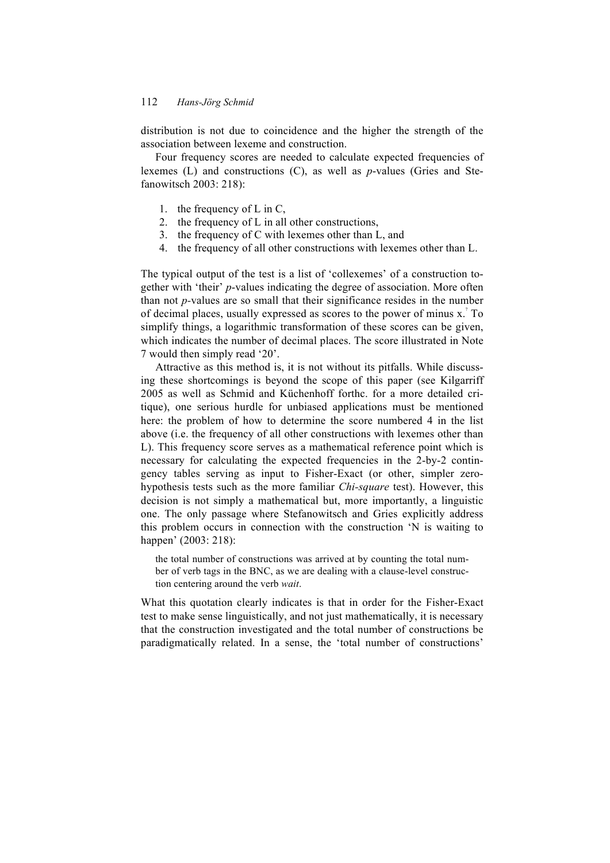distribution is not due to coincidence and the higher the strength of the association between lexeme and construction.

Four frequency scores are needed to calculate expected frequencies of lexemes (L) and constructions (C), as well as *p*-values (Gries and Stefanowitsch 2003: 218):

- 1. the frequency of L in C,
- 2. the frequency of L in all other constructions,
- 3. the frequency of C with lexemes other than L, and
- 4. the frequency of all other constructions with lexemes other than L.

The typical output of the test is a list of 'collexemes' of a construction together with 'their' *p*-values indicating the degree of association. More often than not *p-*values are so small that their significance resides in the number of decimal places, usually expressed as scores to the power of minus x.7 To simplify things, a logarithmic transformation of these scores can be given, which indicates the number of decimal places. The score illustrated in Note 7 would then simply read '20'.

Attractive as this method is, it is not without its pitfalls. While discussing these shortcomings is beyond the scope of this paper (see Kilgarriff 2005 as well as Schmid and Küchenhoff forthc. for a more detailed critique), one serious hurdle for unbiased applications must be mentioned here: the problem of how to determine the score numbered 4 in the list above (i.e. the frequency of all other constructions with lexemes other than L). This frequency score serves as a mathematical reference point which is necessary for calculating the expected frequencies in the 2-by-2 contingency tables serving as input to Fisher-Exact (or other, simpler zerohypothesis tests such as the more familiar *Chi-square* test). However, this decision is not simply a mathematical but, more importantly, a linguistic one. The only passage where Stefanowitsch and Gries explicitly address this problem occurs in connection with the construction 'N is waiting to happen' (2003: 218):

the total number of constructions was arrived at by counting the total number of verb tags in the BNC, as we are dealing with a clause-level construction centering around the verb *wait*.

What this quotation clearly indicates is that in order for the Fisher-Exact test to make sense linguistically, and not just mathematically, it is necessary that the construction investigated and the total number of constructions be paradigmatically related. In a sense, the 'total number of constructions'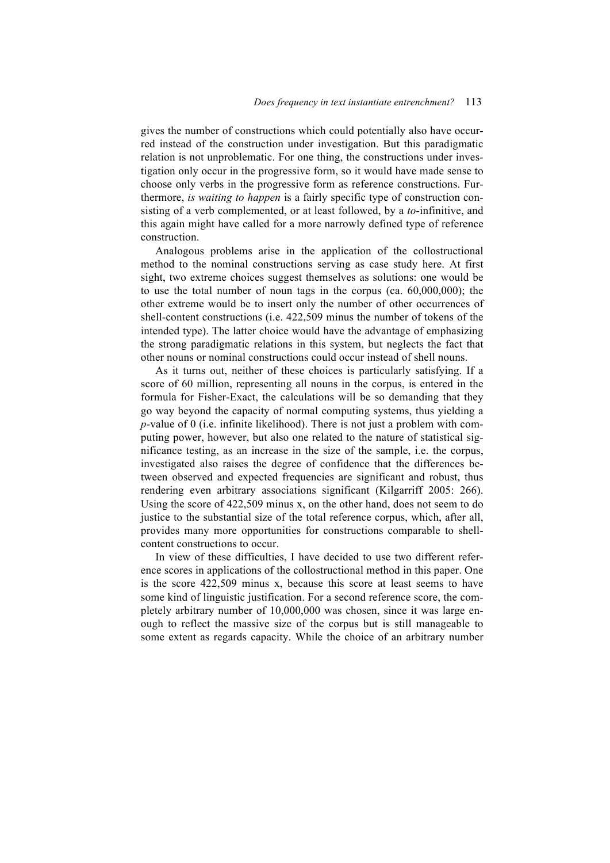gives the number of constructions which could potentially also have occurred instead of the construction under investigation. But this paradigmatic relation is not unproblematic. For one thing, the constructions under investigation only occur in the progressive form, so it would have made sense to choose only verbs in the progressive form as reference constructions. Furthermore, *is waiting to happen* is a fairly specific type of construction consisting of a verb complemented, or at least followed, by a *to*-infinitive, and this again might have called for a more narrowly defined type of reference construction.

Analogous problems arise in the application of the collostructional method to the nominal constructions serving as case study here. At first sight, two extreme choices suggest themselves as solutions: one would be to use the total number of noun tags in the corpus (ca. 60,000,000); the other extreme would be to insert only the number of other occurrences of shell-content constructions (i.e. 422,509 minus the number of tokens of the intended type). The latter choice would have the advantage of emphasizing the strong paradigmatic relations in this system, but neglects the fact that other nouns or nominal constructions could occur instead of shell nouns.

As it turns out, neither of these choices is particularly satisfying. If a score of 60 million, representing all nouns in the corpus, is entered in the formula for Fisher-Exact, the calculations will be so demanding that they go way beyond the capacity of normal computing systems, thus yielding a *p*-value of 0 (i.e. infinite likelihood). There is not just a problem with computing power, however, but also one related to the nature of statistical significance testing, as an increase in the size of the sample, i.e. the corpus, investigated also raises the degree of confidence that the differences between observed and expected frequencies are significant and robust, thus rendering even arbitrary associations significant (Kilgarriff 2005: 266). Using the score of 422,509 minus x, on the other hand, does not seem to do justice to the substantial size of the total reference corpus, which, after all, provides many more opportunities for constructions comparable to shellcontent constructions to occur.

In view of these difficulties, I have decided to use two different reference scores in applications of the collostructional method in this paper. One is the score 422,509 minus x, because this score at least seems to have some kind of linguistic justification. For a second reference score, the completely arbitrary number of 10,000,000 was chosen, since it was large enough to reflect the massive size of the corpus but is still manageable to some extent as regards capacity. While the choice of an arbitrary number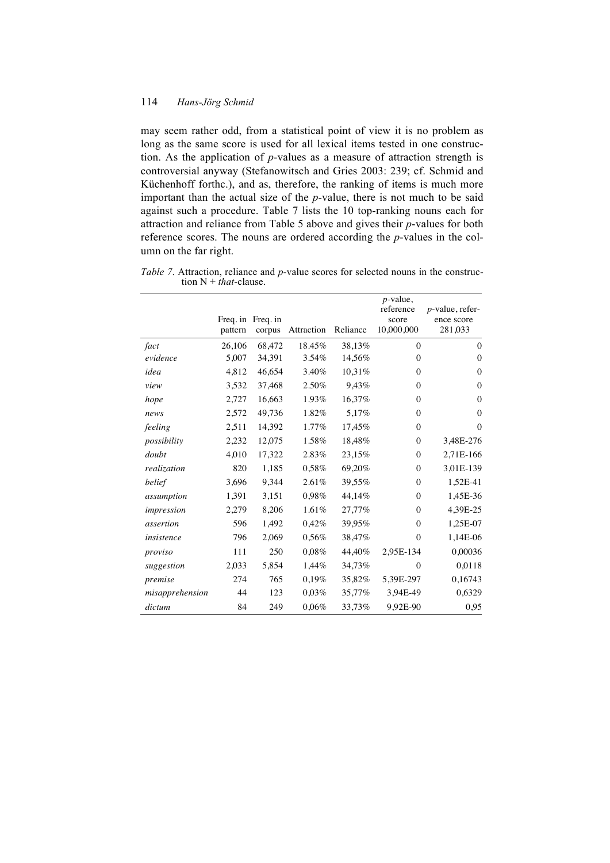may seem rather odd, from a statistical point of view it is no problem as long as the same score is used for all lexical items tested in one construction. As the application of *p*-values as a measure of attraction strength is controversial anyway (Stefanowitsch and Gries 2003: 239; cf. Schmid and Küchenhoff forthc.), and as, therefore, the ranking of items is much more important than the actual size of the *p*-value, there is not much to be said against such a procedure. Table 7 lists the 10 top-ranking nouns each for attraction and reliance from Table 5 above and gives their *p*-values for both reference scores. The nouns are ordered according the *p*-values in the column on the far right.

|                 |         |                             |            |          | $p$ -value,<br>reference | $p$ -value, refer-    |
|-----------------|---------|-----------------------------|------------|----------|--------------------------|-----------------------|
|                 | pattern | Freq. in Freq. in<br>corpus | Attraction | Reliance | score<br>10,000,000      | ence score<br>281,033 |
| fact            | 26,106  | 68,472                      | 18.45%     | 38,13%   | $\mathbf{0}$             | $\Omega$              |
| evidence        | 5,007   | 34,391                      | 3.54%      | 14,56%   | $\mathbf{0}$             | $\Omega$              |
| idea            | 4,812   | 46,654                      | 3.40%      | 10,31%   | $\mathbf{0}$             | $\Omega$              |
| view            | 3,532   | 37,468                      | 2.50%      | 9,43%    | $\boldsymbol{0}$         | $\theta$              |
| hope            | 2,727   | 16,663                      | 1.93%      | 16,37%   | $\mathbf{0}$             | $\theta$              |
| news            | 2,572   | 49,736                      | 1.82%      | 5,17%    | $\mathbf{0}$             | $\theta$              |
| feeling         | 2,511   | 14,392                      | 1.77%      | 17,45%   | $\mathbf{0}$             | $\theta$              |
| possibility     | 2,232   | 12,075                      | 1.58%      | 18,48%   | $\boldsymbol{0}$         | 3,48E-276             |
| doubt           | 4,010   | 17,322                      | 2.83%      | 23,15%   | $\mathbf{0}$             | 2,71E-166             |
| realization     | 820     | 1,185                       | 0,58%      | 69,20%   | $\mathbf{0}$             | 3,01E-139             |
| belief          | 3,696   | 9,344                       | 2.61%      | 39,55%   | $\mathbf{0}$             | 1,52E-41              |
| assumption      | 1,391   | 3,151                       | 0,98%      | 44,14%   | $\mathbf{0}$             | 1,45E-36              |
| impression      | 2,279   | 8,206                       | 1.61%      | 27,77%   | $\mathbf{0}$             | 4,39E-25              |
| assertion       | 596     | 1,492                       | 0,42%      | 39,95%   | $\mathbf{0}$             | 1,25E-07              |
| insistence      | 796     | 2,069                       | 0,56%      | 38,47%   | $\mathbf{0}$             | 1,14E-06              |
| proviso         | 111     | 250                         | 0,08%      | 44,40%   | 2,95E-134                | 0,00036               |
| suggestion      | 2,033   | 5,854                       | 1,44%      | 34,73%   | $\theta$                 | 0,0118                |
| premise         | 274     | 765                         | 0,19%      | 35,82%   | 5,39E-297                | 0,16743               |
| misapprehension | 44      | 123                         | 0.03%      | 35,77%   | 3,94E-49                 | 0,6329                |
| dictum          | 84      | 249                         | 0,06%      | 33,73%   | 9,92E-90                 | 0,95                  |

*Table 7*. Attraction, reliance and *p*-value scores for selected nouns in the construction  $N + \text{that-clause}$ .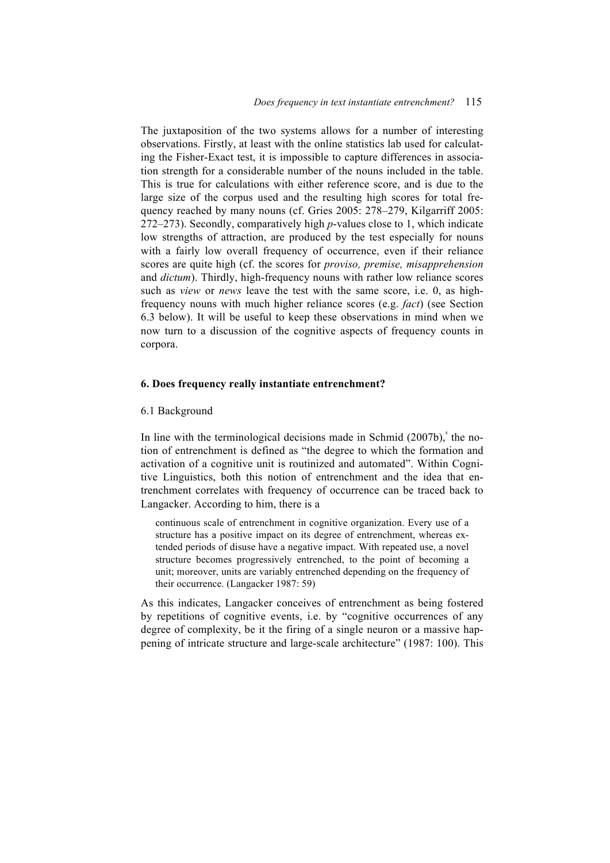The juxtaposition of the two systems allows for a number of interesting observations. Firstly, at least with the online statistics lab used for calculating the Fisher-Exact test, it is impossible to capture differences in association strength for a considerable number of the nouns included in the table. This is true for calculations with either reference score, and is due to the large size of the corpus used and the resulting high scores for total frequency reached by many nouns (cf. Gries 2005: 278–279, Kilgarriff 2005: 272–273). Secondly, comparatively high *p*-values close to 1, which indicate low strengths of attraction, are produced by the test especially for nouns with a fairly low overall frequency of occurrence, even if their reliance scores are quite high (cf. the scores for *proviso, premise, misapprehension*  and *dictum*). Thirdly, high-frequency nouns with rather low reliance scores such as *view* or *news* leave the test with the same score, i.e. 0, as highfrequency nouns with much higher reliance scores (e.g. *fact*) (see Section 6.3 below). It will be useful to keep these observations in mind when we now turn to a discussion of the cognitive aspects of frequency counts in corpora.

#### **6. Does frequency really instantiate entrenchment?**

#### 6.1 Background

In line with the terminological decisions made in Schmid  $(2007b)$ , the notion of entrenchment is defined as "the degree to which the formation and activation of a cognitive unit is routinized and automated". Within Cognitive Linguistics, both this notion of entrenchment and the idea that entrenchment correlates with frequency of occurrence can be traced back to Langacker. According to him, there is a

continuous scale of entrenchment in cognitive organization. Every use of a structure has a positive impact on its degree of entrenchment, whereas extended periods of disuse have a negative impact. With repeated use, a novel structure becomes progressively entrenched, to the point of becoming a unit; moreover, units are variably entrenched depending on the frequency of their occurrence. (Langacker 1987: 59)

As this indicates, Langacker conceives of entrenchment as being fostered by repetitions of cognitive events, i.e. by "cognitive occurrences of any degree of complexity, be it the firing of a single neuron or a massive happening of intricate structure and large-scale architecture" (1987: 100). This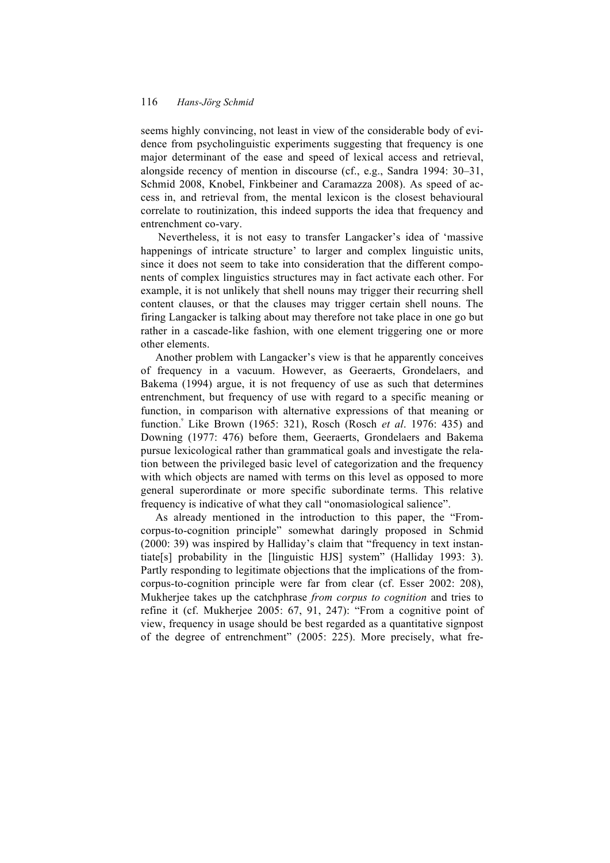seems highly convincing, not least in view of the considerable body of evidence from psycholinguistic experiments suggesting that frequency is one major determinant of the ease and speed of lexical access and retrieval, alongside recency of mention in discourse (cf., e.g., Sandra 1994: 30–31, Schmid 2008, Knobel, Finkbeiner and Caramazza 2008). As speed of access in, and retrieval from, the mental lexicon is the closest behavioural correlate to routinization, this indeed supports the idea that frequency and entrenchment co-vary.

 Nevertheless, it is not easy to transfer Langacker's idea of 'massive happenings of intricate structure' to larger and complex linguistic units, since it does not seem to take into consideration that the different components of complex linguistics structures may in fact activate each other. For example, it is not unlikely that shell nouns may trigger their recurring shell content clauses, or that the clauses may trigger certain shell nouns. The firing Langacker is talking about may therefore not take place in one go but rather in a cascade-like fashion, with one element triggering one or more other elements.

Another problem with Langacker's view is that he apparently conceives of frequency in a vacuum. However, as Geeraerts, Grondelaers, and Bakema (1994) argue, it is not frequency of use as such that determines entrenchment, but frequency of use with regard to a specific meaning or function, in comparison with alternative expressions of that meaning or function.9 Like Brown (1965: 321), Rosch (Rosch *et al*. 1976: 435) and Downing (1977: 476) before them, Geeraerts, Grondelaers and Bakema pursue lexicological rather than grammatical goals and investigate the relation between the privileged basic level of categorization and the frequency with which objects are named with terms on this level as opposed to more general superordinate or more specific subordinate terms. This relative frequency is indicative of what they call "onomasiological salience".

As already mentioned in the introduction to this paper, the "Fromcorpus-to-cognition principle" somewhat daringly proposed in Schmid (2000: 39) was inspired by Halliday's claim that "frequency in text instantiate[s] probability in the [linguistic HJS] system" (Halliday 1993: 3). Partly responding to legitimate objections that the implications of the fromcorpus-to-cognition principle were far from clear (cf. Esser 2002: 208), Mukherjee takes up the catchphrase *from corpus to cognition* and tries to refine it (cf. Mukherjee 2005: 67, 91, 247): "From a cognitive point of view, frequency in usage should be best regarded as a quantitative signpost of the degree of entrenchment" (2005: 225). More precisely, what fre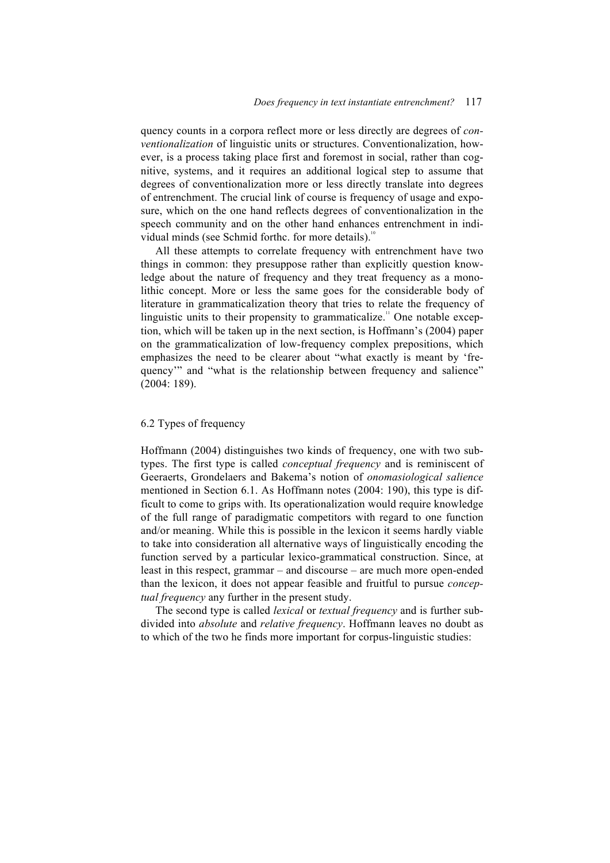quency counts in a corpora reflect more or less directly are degrees of *conventionalization* of linguistic units or structures. Conventionalization, however, is a process taking place first and foremost in social, rather than cognitive, systems, and it requires an additional logical step to assume that degrees of conventionalization more or less directly translate into degrees of entrenchment. The crucial link of course is frequency of usage and exposure, which on the one hand reflects degrees of conventionalization in the speech community and on the other hand enhances entrenchment in individual minds (see Schmid forthc. for more details).<sup>10</sup>

All these attempts to correlate frequency with entrenchment have two things in common: they presuppose rather than explicitly question knowledge about the nature of frequency and they treat frequency as a monolithic concept. More or less the same goes for the considerable body of literature in grammaticalization theory that tries to relate the frequency of linguistic units to their propensity to grammaticalize.<sup>11</sup> One notable exception, which will be taken up in the next section, is Hoffmann's (2004) paper on the grammaticalization of low-frequency complex prepositions, which emphasizes the need to be clearer about "what exactly is meant by 'frequency" and "what is the relationship between frequency and salience" (2004: 189).

# 6.2 Types of frequency

Hoffmann (2004) distinguishes two kinds of frequency, one with two subtypes. The first type is called *conceptual frequency* and is reminiscent of Geeraerts, Grondelaers and Bakema's notion of *onomasiological salience* mentioned in Section 6.1. As Hoffmann notes (2004: 190), this type is difficult to come to grips with. Its operationalization would require knowledge of the full range of paradigmatic competitors with regard to one function and/or meaning. While this is possible in the lexicon it seems hardly viable to take into consideration all alternative ways of linguistically encoding the function served by a particular lexico-grammatical construction. Since, at least in this respect, grammar – and discourse – are much more open-ended than the lexicon, it does not appear feasible and fruitful to pursue *conceptual frequency* any further in the present study.

The second type is called *lexical* or *textual frequency* and is further subdivided into *absolute* and *relative frequency*. Hoffmann leaves no doubt as to which of the two he finds more important for corpus-linguistic studies: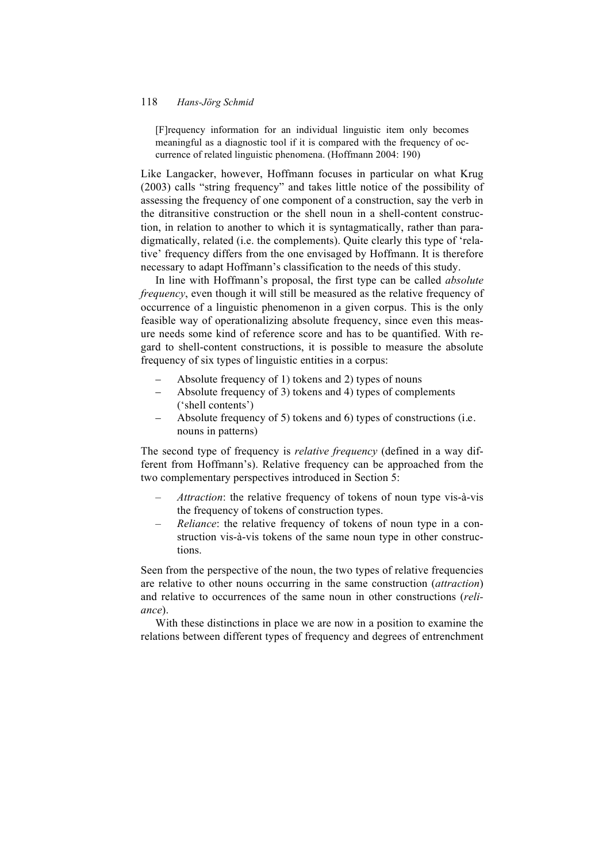[F]requency information for an individual linguistic item only becomes meaningful as a diagnostic tool if it is compared with the frequency of occurrence of related linguistic phenomena. (Hoffmann 2004: 190)

Like Langacker, however, Hoffmann focuses in particular on what Krug (2003) calls "string frequency" and takes little notice of the possibility of assessing the frequency of one component of a construction, say the verb in the ditransitive construction or the shell noun in a shell-content construction, in relation to another to which it is syntagmatically, rather than paradigmatically, related (i.e. the complements). Quite clearly this type of 'relative' frequency differs from the one envisaged by Hoffmann. It is therefore necessary to adapt Hoffmann's classification to the needs of this study.

In line with Hoffmann's proposal, the first type can be called *absolute frequency*, even though it will still be measured as the relative frequency of occurrence of a linguistic phenomenon in a given corpus. This is the only feasible way of operationalizing absolute frequency, since even this measure needs some kind of reference score and has to be quantified. With regard to shell-content constructions, it is possible to measure the absolute frequency of six types of linguistic entities in a corpus:

- Absolute frequency of 1) tokens and 2) types of nouns
- Absolute frequency of 3) tokens and 4) types of complements ('shell contents')
- Absolute frequency of 5) tokens and 6) types of constructions (i.e. nouns in patterns)

The second type of frequency is *relative frequency* (defined in a way different from Hoffmann's). Relative frequency can be approached from the two complementary perspectives introduced in Section 5:

- *Attraction*: the relative frequency of tokens of noun type vis-à-vis the frequency of tokens of construction types.
- *Reliance*: the relative frequency of tokens of noun type in a construction vis-à-vis tokens of the same noun type in other constructions.

Seen from the perspective of the noun, the two types of relative frequencies are relative to other nouns occurring in the same construction (*attraction*) and relative to occurrences of the same noun in other constructions (*reliance*).

With these distinctions in place we are now in a position to examine the relations between different types of frequency and degrees of entrenchment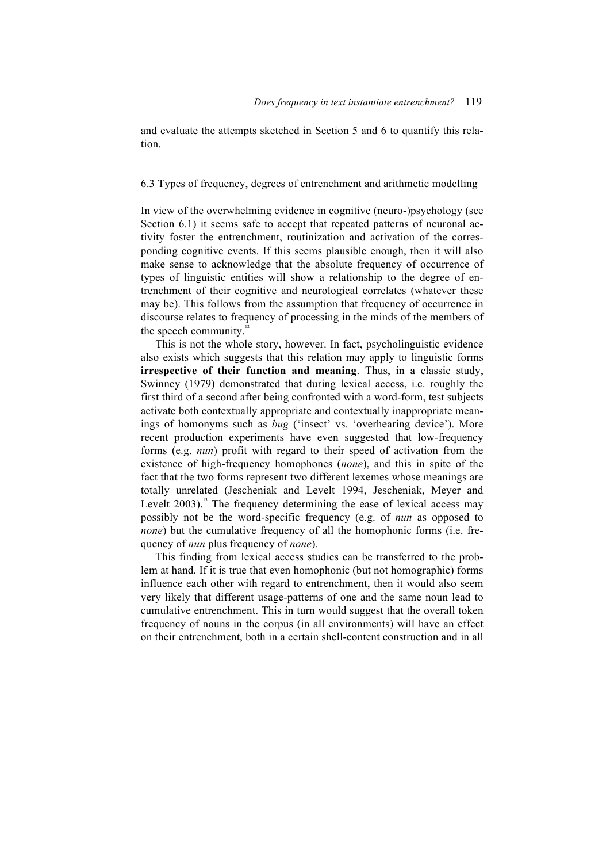and evaluate the attempts sketched in Section 5 and 6 to quantify this relation.

#### 6.3 Types of frequency, degrees of entrenchment and arithmetic modelling

In view of the overwhelming evidence in cognitive (neuro-)psychology (see Section 6.1) it seems safe to accept that repeated patterns of neuronal activity foster the entrenchment, routinization and activation of the corresponding cognitive events. If this seems plausible enough, then it will also make sense to acknowledge that the absolute frequency of occurrence of types of linguistic entities will show a relationship to the degree of entrenchment of their cognitive and neurological correlates (whatever these may be). This follows from the assumption that frequency of occurrence in discourse relates to frequency of processing in the minds of the members of the speech community. $12$ 

This is not the whole story, however. In fact, psycholinguistic evidence also exists which suggests that this relation may apply to linguistic forms **irrespective of their function and meaning**. Thus, in a classic study, Swinney (1979) demonstrated that during lexical access, i.e. roughly the first third of a second after being confronted with a word-form, test subjects activate both contextually appropriate and contextually inappropriate meanings of homonyms such as *bug* ('insect' vs. 'overhearing device'). More recent production experiments have even suggested that low-frequency forms (e.g. *nun*) profit with regard to their speed of activation from the existence of high-frequency homophones (*none*), and this in spite of the fact that the two forms represent two different lexemes whose meanings are totally unrelated (Jescheniak and Levelt 1994, Jescheniak, Meyer and Levelt  $2003$ ).<sup>13</sup> The frequency determining the ease of lexical access may possibly not be the word-specific frequency (e.g. of *nun* as opposed to *none*) but the cumulative frequency of all the homophonic forms (i.e. frequency of *nun* plus frequency of *none*).

This finding from lexical access studies can be transferred to the problem at hand. If it is true that even homophonic (but not homographic) forms influence each other with regard to entrenchment, then it would also seem very likely that different usage-patterns of one and the same noun lead to cumulative entrenchment. This in turn would suggest that the overall token frequency of nouns in the corpus (in all environments) will have an effect on their entrenchment, both in a certain shell-content construction and in all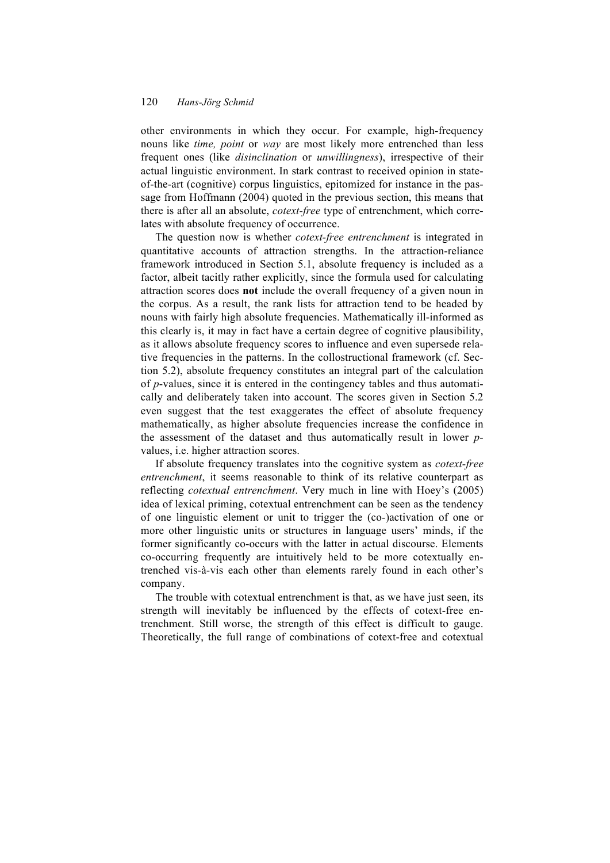other environments in which they occur. For example, high-frequency nouns like *time, point* or *way* are most likely more entrenched than less frequent ones (like *disinclination* or *unwillingness*), irrespective of their actual linguistic environment. In stark contrast to received opinion in stateof-the-art (cognitive) corpus linguistics, epitomized for instance in the passage from Hoffmann (2004) quoted in the previous section, this means that there is after all an absolute, *cotext-free* type of entrenchment, which correlates with absolute frequency of occurrence.

The question now is whether *cotext-free entrenchment* is integrated in quantitative accounts of attraction strengths. In the attraction-reliance framework introduced in Section 5.1, absolute frequency is included as a factor, albeit tacitly rather explicitly, since the formula used for calculating attraction scores does **not** include the overall frequency of a given noun in the corpus. As a result, the rank lists for attraction tend to be headed by nouns with fairly high absolute frequencies. Mathematically ill-informed as this clearly is, it may in fact have a certain degree of cognitive plausibility, as it allows absolute frequency scores to influence and even supersede relative frequencies in the patterns. In the collostructional framework (cf. Section 5.2), absolute frequency constitutes an integral part of the calculation of *p*-values, since it is entered in the contingency tables and thus automatically and deliberately taken into account. The scores given in Section 5.2 even suggest that the test exaggerates the effect of absolute frequency mathematically, as higher absolute frequencies increase the confidence in the assessment of the dataset and thus automatically result in lower *p*values, i.e. higher attraction scores.

If absolute frequency translates into the cognitive system as *cotext-free entrenchment*, it seems reasonable to think of its relative counterpart as reflecting *cotextual entrenchment*. Very much in line with Hoey's (2005) idea of lexical priming, cotextual entrenchment can be seen as the tendency of one linguistic element or unit to trigger the (co-)activation of one or more other linguistic units or structures in language users' minds, if the former significantly co-occurs with the latter in actual discourse. Elements co-occurring frequently are intuitively held to be more cotextually entrenched vis-à-vis each other than elements rarely found in each other's company.

The trouble with cotextual entrenchment is that, as we have just seen, its strength will inevitably be influenced by the effects of cotext-free entrenchment. Still worse, the strength of this effect is difficult to gauge. Theoretically, the full range of combinations of cotext-free and cotextual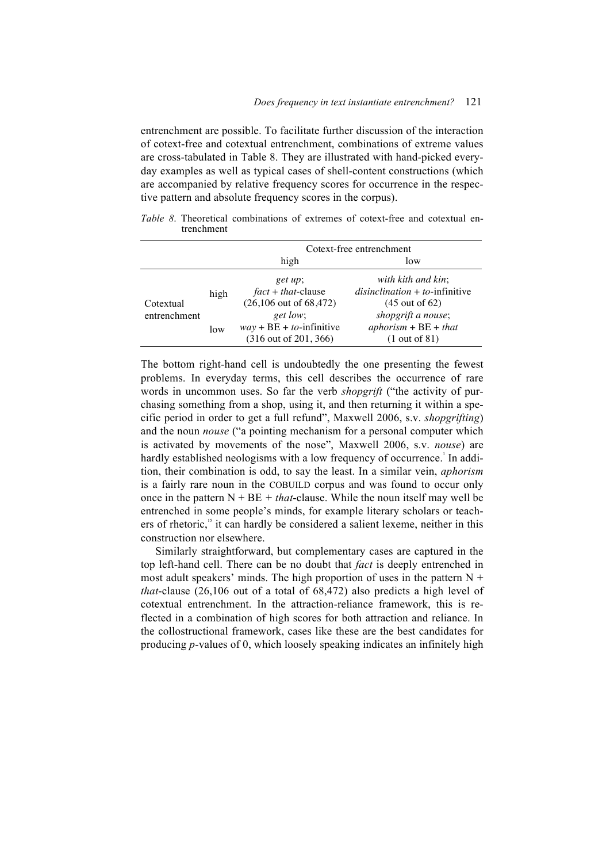entrenchment are possible. To facilitate further discussion of the interaction of cotext-free and cotextual entrenchment, combinations of extreme values are cross-tabulated in Table 8. They are illustrated with hand-picked everyday examples as well as typical cases of shell-content constructions (which are accompanied by relative frequency scores for occurrence in the respective pattern and absolute frequency scores in the corpus).

*Table 8*. Theoretical combinations of extremes of cotext-free and cotextual entrenchment

|                           |             | Cotext-free entrenchment                                                                                                               |                                                                                                                                                       |  |  |  |
|---------------------------|-------------|----------------------------------------------------------------------------------------------------------------------------------------|-------------------------------------------------------------------------------------------------------------------------------------------------------|--|--|--|
|                           |             | high<br>low                                                                                                                            |                                                                                                                                                       |  |  |  |
| Cotextual<br>entrenchment | high<br>low | get up;<br>$fact + that$ -clause<br>$(26,106$ out of $68,472)$<br>get low;<br>$way + BE + to$ -infinitive<br>$(316$ out of $201, 366)$ | with kith and kin;<br>$disinclination + to$ -infinitive<br>$(45 \text{ out of } 62)$<br>shopgrift a nouse;<br>$aphorism + BE + that$<br>(1 out of 81) |  |  |  |

The bottom right-hand cell is undoubtedly the one presenting the fewest problems. In everyday terms, this cell describes the occurrence of rare words in uncommon uses. So far the verb *shopgrift* ("the activity of purchasing something from a shop, using it, and then returning it within a specific period in order to get a full refund", Maxwell 2006, s.v. *shopgrifting*) and the noun *nouse* ("a pointing mechanism for a personal computer which is activated by movements of the nose", Maxwell 2006, s.v. *nouse*) are hardly established neologisms with a low frequency of occurrence.<sup>1</sup> In addition, their combination is odd, to say the least. In a similar vein, *aphorism*  is a fairly rare noun in the COBUILD corpus and was found to occur only once in the pattern  $N + BE + that$ -clause. While the noun itself may well be entrenched in some people's minds, for example literary scholars or teachers of rhetoric,<sup>15</sup> it can hardly be considered a salient lexeme, neither in this construction nor elsewhere.

Similarly straightforward, but complementary cases are captured in the top left-hand cell. There can be no doubt that *fact* is deeply entrenched in most adult speakers' minds. The high proportion of uses in the pattern  $N +$ *that*-clause (26,106 out of a total of 68,472) also predicts a high level of cotextual entrenchment. In the attraction-reliance framework, this is reflected in a combination of high scores for both attraction and reliance. In the collostructional framework, cases like these are the best candidates for producing *p*-values of 0, which loosely speaking indicates an infinitely high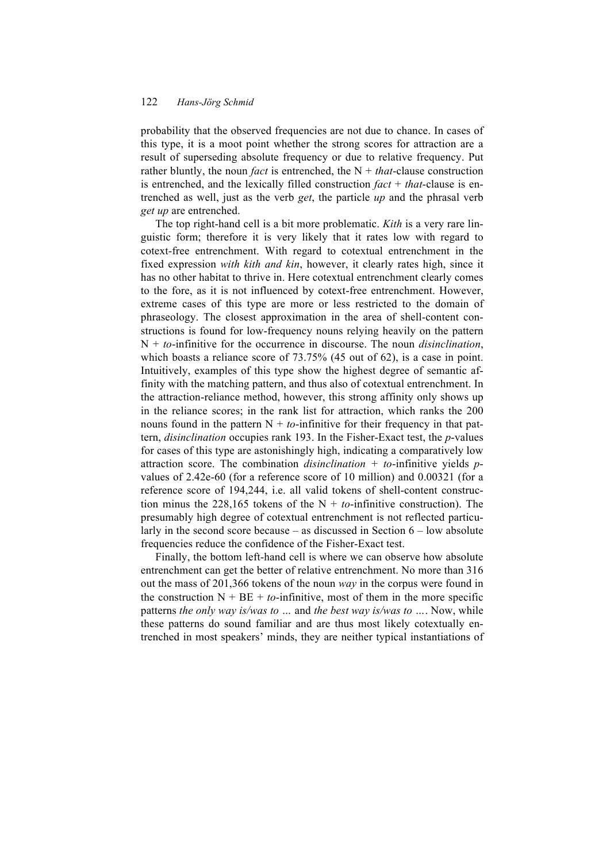probability that the observed frequencies are not due to chance. In cases of this type, it is a moot point whether the strong scores for attraction are a result of superseding absolute frequency or due to relative frequency. Put rather bluntly, the noun *fact* is entrenched, the  $N + that$ -clause construction is entrenched, and the lexically filled construction *fact* + *that*-clause is entrenched as well, just as the verb *get*, the particle *up* and the phrasal verb *get up* are entrenched.

The top right-hand cell is a bit more problematic. *Kith* is a very rare linguistic form; therefore it is very likely that it rates low with regard to cotext-free entrenchment. With regard to cotextual entrenchment in the fixed expression *with kith and kin*, however, it clearly rates high, since it has no other habitat to thrive in. Here cotextual entrenchment clearly comes to the fore, as it is not influenced by cotext-free entrenchment. However, extreme cases of this type are more or less restricted to the domain of phraseology. The closest approximation in the area of shell-content constructions is found for low-frequency nouns relying heavily on the pattern N + *to*-infinitive for the occurrence in discourse. The noun *disinclination*, which boasts a reliance score of 73.75% (45 out of 62), is a case in point. Intuitively, examples of this type show the highest degree of semantic affinity with the matching pattern, and thus also of cotextual entrenchment. In the attraction-reliance method, however, this strong affinity only shows up in the reliance scores; in the rank list for attraction, which ranks the 200 nouns found in the pattern  $N + t_0$ -infinitive for their frequency in that pattern, *disinclination* occupies rank 193. In the Fisher-Exact test, the *p*-values for cases of this type are astonishingly high, indicating a comparatively low attraction score. The combination *disinclination + to*-infinitive yields *p*values of 2.42e-60 (for a reference score of 10 million) and 0.00321 (for a reference score of 194,244, i.e. all valid tokens of shell-content construction minus the 228,165 tokens of the  $N + to$ -infinitive construction). The presumably high degree of cotextual entrenchment is not reflected particularly in the second score because – as discussed in Section 6 – low absolute frequencies reduce the confidence of the Fisher-Exact test.

Finally, the bottom left-hand cell is where we can observe how absolute entrenchment can get the better of relative entrenchment. No more than 316 out the mass of 201,366 tokens of the noun *way* in the corpus were found in the construction  $N + BE + to$ -infinitive, most of them in the more specific patterns *the only way is/was to …* and *the best way is/was to …*. Now, while these patterns do sound familiar and are thus most likely cotextually entrenched in most speakers' minds, they are neither typical instantiations of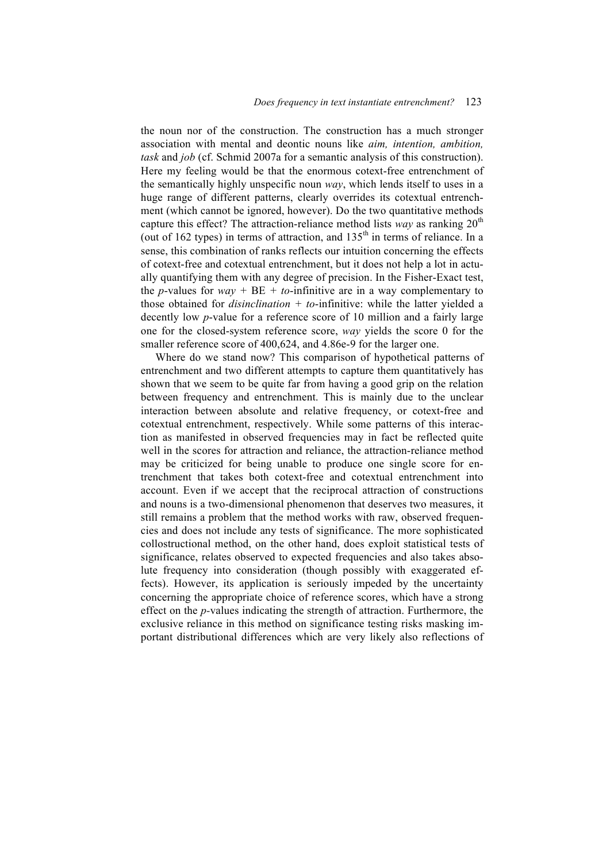the noun nor of the construction. The construction has a much stronger association with mental and deontic nouns like *aim, intention, ambition, task* and *job* (cf. Schmid 2007a for a semantic analysis of this construction). Here my feeling would be that the enormous cotext-free entrenchment of the semantically highly unspecific noun *way*, which lends itself to uses in a huge range of different patterns, clearly overrides its cotextual entrenchment (which cannot be ignored, however). Do the two quantitative methods capture this effect? The attraction-reliance method lists *way* as ranking  $20<sup>th</sup>$ (out of 162 types) in terms of attraction, and  $135<sup>th</sup>$  in terms of reliance. In a sense, this combination of ranks reflects our intuition concerning the effects of cotext-free and cotextual entrenchment, but it does not help a lot in actually quantifying them with any degree of precision. In the Fisher-Exact test, the *p*-values for  $way + BE + to$ -infinitive are in a way complementary to those obtained for *disinclination + to*-infinitive: while the latter yielded a decently low *p*-value for a reference score of 10 million and a fairly large one for the closed-system reference score, *way* yields the score 0 for the smaller reference score of 400,624, and 4.86e-9 for the larger one.

Where do we stand now? This comparison of hypothetical patterns of entrenchment and two different attempts to capture them quantitatively has shown that we seem to be quite far from having a good grip on the relation between frequency and entrenchment. This is mainly due to the unclear interaction between absolute and relative frequency, or cotext-free and cotextual entrenchment, respectively. While some patterns of this interaction as manifested in observed frequencies may in fact be reflected quite well in the scores for attraction and reliance, the attraction-reliance method may be criticized for being unable to produce one single score for entrenchment that takes both cotext-free and cotextual entrenchment into account. Even if we accept that the reciprocal attraction of constructions and nouns is a two-dimensional phenomenon that deserves two measures, it still remains a problem that the method works with raw, observed frequencies and does not include any tests of significance. The more sophisticated collostructional method, on the other hand, does exploit statistical tests of significance, relates observed to expected frequencies and also takes absolute frequency into consideration (though possibly with exaggerated effects). However, its application is seriously impeded by the uncertainty concerning the appropriate choice of reference scores, which have a strong effect on the *p-*values indicating the strength of attraction. Furthermore, the exclusive reliance in this method on significance testing risks masking important distributional differences which are very likely also reflections of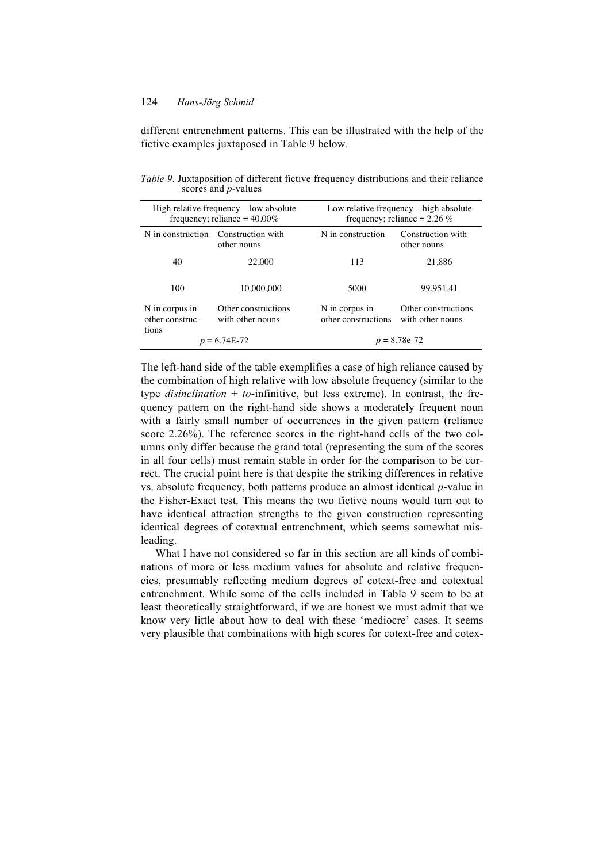different entrenchment patterns. This can be illustrated with the help of the fictive examples juxtaposed in Table 9 below.

*Table 9*. Juxtaposition of different fictive frequency distributions and their reliance scores and *p*-values

|                                            | High relative frequency – low absolute<br>frequency; reliance = $40.00\%$ | Low relative frequency – high absolute<br>frequency; reliance = $2.26\%$ |                                         |  |
|--------------------------------------------|---------------------------------------------------------------------------|--------------------------------------------------------------------------|-----------------------------------------|--|
|                                            | N in construction Construction with<br>other nouns                        | N in construction                                                        | Construction with<br>other nouns        |  |
| 40                                         | 22,000                                                                    | 113                                                                      | 21,886                                  |  |
| 100                                        | 10,000,000                                                                | 5000                                                                     | 99.951.41                               |  |
| N in corpus in<br>other construc-<br>tions | Other constructions<br>with other nouns                                   | N in corpus in<br>other constructions                                    | Other constructions<br>with other nouns |  |
|                                            | $p = 6.74E - 72$                                                          |                                                                          | $p = 8.78e-72$                          |  |

The left-hand side of the table exemplifies a case of high reliance caused by the combination of high relative with low absolute frequency (similar to the type *disinclination* + *to*-infinitive, but less extreme). In contrast, the frequency pattern on the right-hand side shows a moderately frequent noun with a fairly small number of occurrences in the given pattern (reliance score 2.26%). The reference scores in the right-hand cells of the two columns only differ because the grand total (representing the sum of the scores in all four cells) must remain stable in order for the comparison to be correct. The crucial point here is that despite the striking differences in relative vs. absolute frequency, both patterns produce an almost identical *p*-value in the Fisher-Exact test. This means the two fictive nouns would turn out to have identical attraction strengths to the given construction representing identical degrees of cotextual entrenchment, which seems somewhat misleading.

What I have not considered so far in this section are all kinds of combinations of more or less medium values for absolute and relative frequencies, presumably reflecting medium degrees of cotext-free and cotextual entrenchment. While some of the cells included in Table 9 seem to be at least theoretically straightforward, if we are honest we must admit that we know very little about how to deal with these 'mediocre' cases. It seems very plausible that combinations with high scores for cotext-free and cotex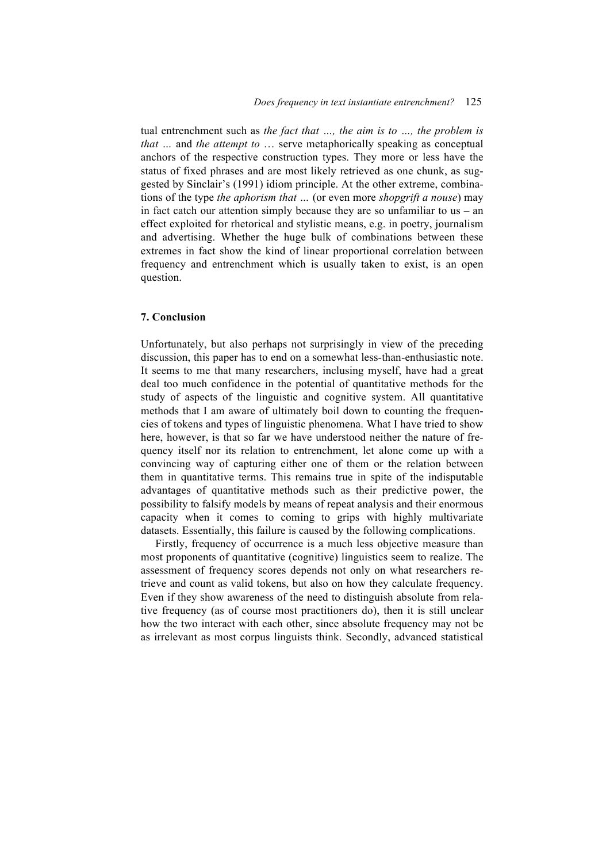tual entrenchment such as *the fact that …, the aim is to …, the problem is that …* and *the attempt to* … serve metaphorically speaking as conceptual anchors of the respective construction types. They more or less have the status of fixed phrases and are most likely retrieved as one chunk, as suggested by Sinclair's (1991) idiom principle. At the other extreme, combinations of the type *the aphorism that …* (or even more *shopgrift a nouse*) may in fact catch our attention simply because they are so unfamiliar to us – an effect exploited for rhetorical and stylistic means, e.g. in poetry, journalism and advertising. Whether the huge bulk of combinations between these extremes in fact show the kind of linear proportional correlation between frequency and entrenchment which is usually taken to exist, is an open question.

#### **7. Conclusion**

Unfortunately, but also perhaps not surprisingly in view of the preceding discussion, this paper has to end on a somewhat less-than-enthusiastic note. It seems to me that many researchers, inclusing myself, have had a great deal too much confidence in the potential of quantitative methods for the study of aspects of the linguistic and cognitive system. All quantitative methods that I am aware of ultimately boil down to counting the frequencies of tokens and types of linguistic phenomena. What I have tried to show here, however, is that so far we have understood neither the nature of frequency itself nor its relation to entrenchment, let alone come up with a convincing way of capturing either one of them or the relation between them in quantitative terms. This remains true in spite of the indisputable advantages of quantitative methods such as their predictive power, the possibility to falsify models by means of repeat analysis and their enormous capacity when it comes to coming to grips with highly multivariate datasets. Essentially, this failure is caused by the following complications.

Firstly, frequency of occurrence is a much less objective measure than most proponents of quantitative (cognitive) linguistics seem to realize. The assessment of frequency scores depends not only on what researchers retrieve and count as valid tokens, but also on how they calculate frequency. Even if they show awareness of the need to distinguish absolute from relative frequency (as of course most practitioners do), then it is still unclear how the two interact with each other, since absolute frequency may not be as irrelevant as most corpus linguists think. Secondly, advanced statistical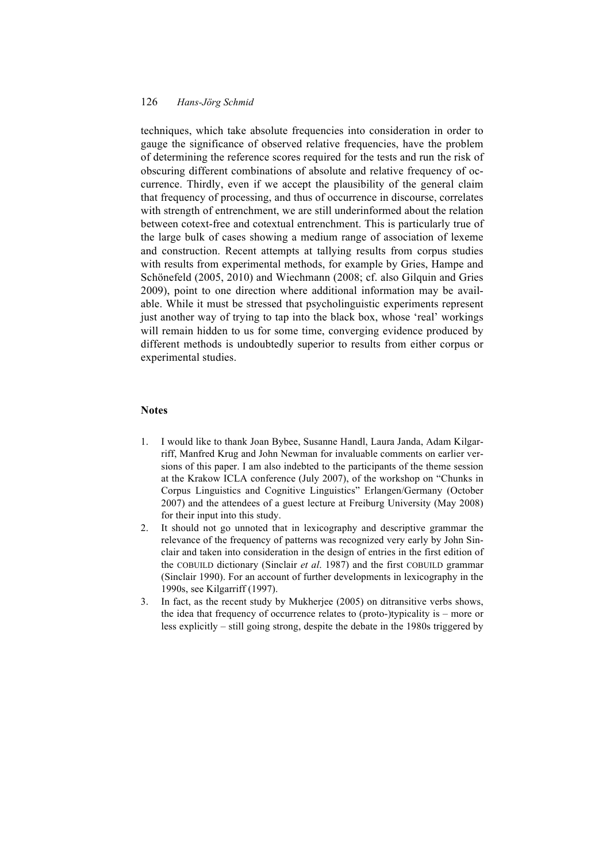techniques, which take absolute frequencies into consideration in order to gauge the significance of observed relative frequencies, have the problem of determining the reference scores required for the tests and run the risk of obscuring different combinations of absolute and relative frequency of occurrence. Thirdly, even if we accept the plausibility of the general claim that frequency of processing, and thus of occurrence in discourse, correlates with strength of entrenchment, we are still underinformed about the relation between cotext-free and cotextual entrenchment. This is particularly true of the large bulk of cases showing a medium range of association of lexeme and construction. Recent attempts at tallying results from corpus studies with results from experimental methods, for example by Gries, Hampe and Schönefeld (2005, 2010) and Wiechmann (2008; cf. also Gilquin and Gries 2009), point to one direction where additional information may be available. While it must be stressed that psycholinguistic experiments represent just another way of trying to tap into the black box, whose 'real' workings will remain hidden to us for some time, converging evidence produced by different methods is undoubtedly superior to results from either corpus or experimental studies.

# **Notes**

- 1. I would like to thank Joan Bybee, Susanne Handl, Laura Janda, Adam Kilgarriff, Manfred Krug and John Newman for invaluable comments on earlier versions of this paper. I am also indebted to the participants of the theme session at the Krakow ICLA conference (July 2007), of the workshop on "Chunks in Corpus Linguistics and Cognitive Linguistics" Erlangen/Germany (October 2007) and the attendees of a guest lecture at Freiburg University (May 2008) for their input into this study.
- 2. It should not go unnoted that in lexicography and descriptive grammar the relevance of the frequency of patterns was recognized very early by John Sinclair and taken into consideration in the design of entries in the first edition of the COBUILD dictionary (Sinclair *et al*. 1987) and the first COBUILD grammar (Sinclair 1990). For an account of further developments in lexicography in the 1990s, see Kilgarriff (1997).
- 3. In fact, as the recent study by Mukherjee (2005) on ditransitive verbs shows, the idea that frequency of occurrence relates to (proto-)typicality is – more or less explicitly – still going strong, despite the debate in the 1980s triggered by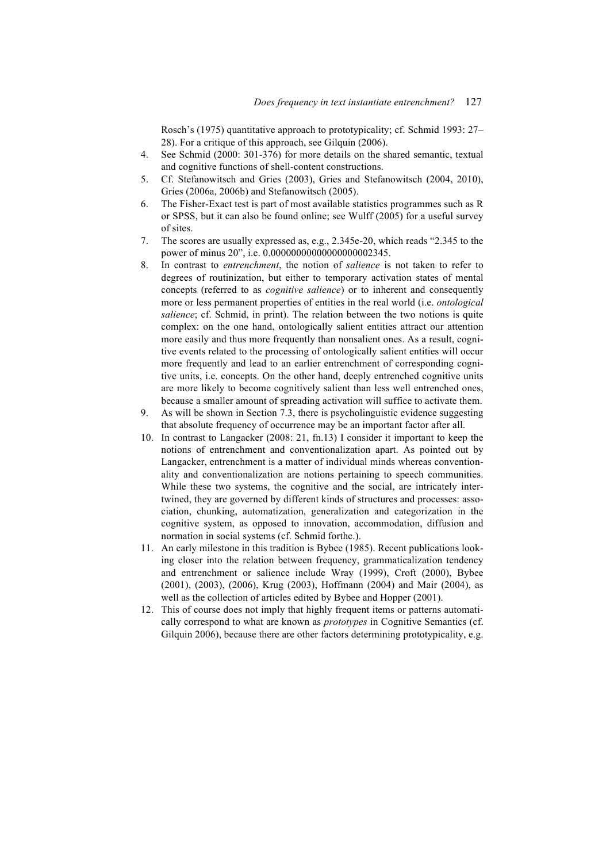Rosch's (1975) quantitative approach to prototypicality; cf. Schmid 1993: 27– 28). For a critique of this approach, see Gilquin (2006).

- 4. See Schmid (2000: 301-376) for more details on the shared semantic, textual and cognitive functions of shell-content constructions.
- 5. Cf. Stefanowitsch and Gries (2003), Gries and Stefanowitsch (2004, 2010), Gries (2006a, 2006b) and Stefanowitsch (2005).
- 6. The Fisher-Exact test is part of most available statistics programmes such as R or SPSS, but it can also be found online; see Wulff (2005) for a useful survey of sites.
- 7. The scores are usually expressed as, e.g., 2.345e-20, which reads "2.345 to the power of minus 20", i.e. 0.00000000000000000002345.
- 8. In contrast to *entrenchment*, the notion of *salience* is not taken to refer to degrees of routinization, but either to temporary activation states of mental concepts (referred to as *cognitive salience*) or to inherent and consequently more or less permanent properties of entities in the real world (i.e. *ontological salience*; cf. Schmid, in print). The relation between the two notions is quite complex: on the one hand, ontologically salient entities attract our attention more easily and thus more frequently than nonsalient ones. As a result, cognitive events related to the processing of ontologically salient entities will occur more frequently and lead to an earlier entrenchment of corresponding cognitive units, i.e. concepts. On the other hand, deeply entrenched cognitive units are more likely to become cognitively salient than less well entrenched ones, because a smaller amount of spreading activation will suffice to activate them.
- 9. As will be shown in Section 7.3, there is psycholinguistic evidence suggesting that absolute frequency of occurrence may be an important factor after all.
- 10. In contrast to Langacker (2008: 21, fn.13) I consider it important to keep the notions of entrenchment and conventionalization apart. As pointed out by Langacker, entrenchment is a matter of individual minds whereas conventionality and conventionalization are notions pertaining to speech communities. While these two systems, the cognitive and the social, are intricately intertwined, they are governed by different kinds of structures and processes: association, chunking, automatization, generalization and categorization in the cognitive system, as opposed to innovation, accommodation, diffusion and normation in social systems (cf. Schmid forthc.).
- 11. An early milestone in this tradition is Bybee (1985). Recent publications looking closer into the relation between frequency, grammaticalization tendency and entrenchment or salience include Wray (1999), Croft (2000), Bybee (2001), (2003), (2006), Krug (2003), Hoffmann (2004) and Mair (2004), as well as the collection of articles edited by Bybee and Hopper (2001).
- 12. This of course does not imply that highly frequent items or patterns automatically correspond to what are known as *prototypes* in Cognitive Semantics (cf. Gilquin 2006), because there are other factors determining prototypicality, e.g.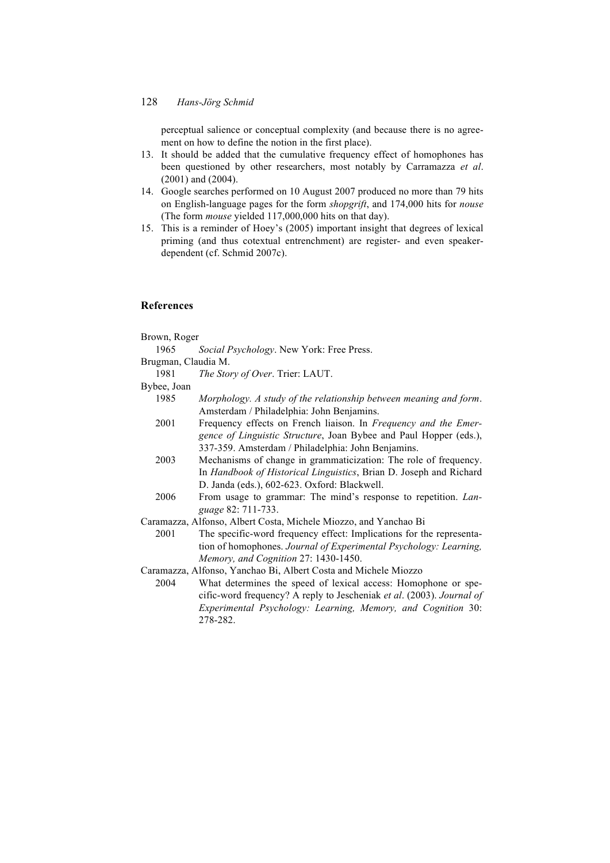perceptual salience or conceptual complexity (and because there is no agreement on how to define the notion in the first place).

- 13. It should be added that the cumulative frequency effect of homophones has been questioned by other researchers, most notably by Carramazza *et al*. (2001) and (2004).
- 14. Google searches performed on 10 August 2007 produced no more than 79 hits on English-language pages for the form *shopgrift*, and 174,000 hits for *nouse* (The form *mouse* yielded 117,000,000 hits on that day).
- 15. This is a reminder of Hoey's (2005) important insight that degrees of lexical priming (and thus cotextual entrenchment) are register- and even speakerdependent (cf. Schmid 2007c).

# **References**

Brown, Roger

1965 *Social Psychology*. New York: Free Press.

Brugman, Claudia M. 1981 *The Story of Over*. Trier: LAUT.

Bybee, Joan

- 1985 *Morphology. A study of the relationship between meaning and form*. Amsterdam / Philadelphia: John Benjamins.
- 2001 Frequency effects on French liaison. In *Frequency and the Emergence of Linguistic Structure*, Joan Bybee and Paul Hopper (eds.), 337-359. Amsterdam / Philadelphia: John Benjamins.
- 2003 Mechanisms of change in grammaticization: The role of frequency. In *Handbook of Historical Linguistics*, Brian D. Joseph and Richard D. Janda (eds.), 602-623. Oxford: Blackwell.
- 2006 From usage to grammar: The mind's response to repetition. *Language* 82: 711-733.

Caramazza, Alfonso, Albert Costa, Michele Miozzo, and Yanchao Bi

2001 The specific-word frequency effect: Implications for the representation of homophones. *Journal of Experimental Psychology: Learning, Memory, and Cognition* 27: 1430-1450.

Caramazza, Alfonso, Yanchao Bi, Albert Costa and Michele Miozzo

2004 What determines the speed of lexical access: Homophone or specific-word frequency? A reply to Jescheniak *et al*. (2003). *Journal of Experimental Psychology: Learning, Memory, and Cognition* 30: 278-282.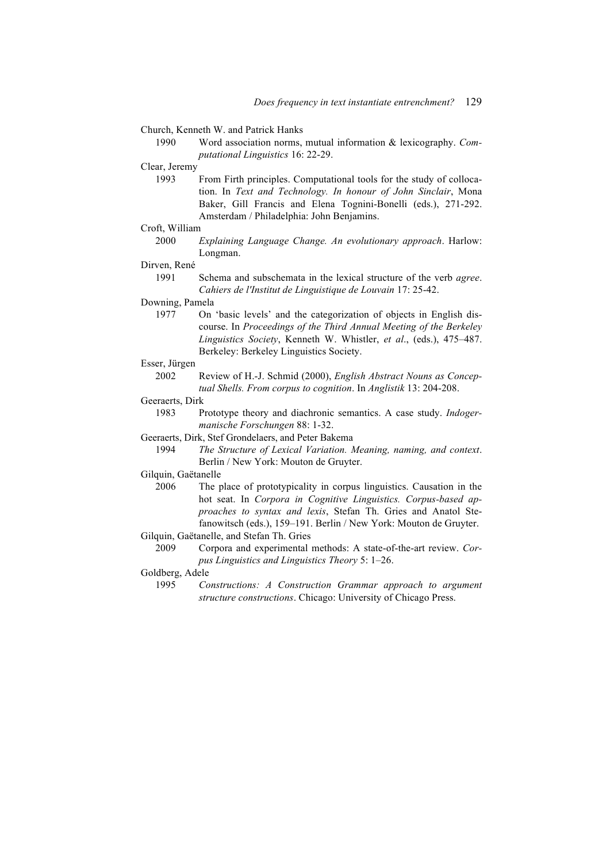#### Church, Kenneth W. and Patrick Hanks

1990 Word association norms, mutual information & lexicography. *Computational Linguistics* 16: 22-29.

#### Clear, Jeremy

1993 From Firth principles. Computational tools for the study of collocation. In *Text and Technology. In honour of John Sinclair*, Mona Baker, Gill Francis and Elena Tognini-Bonelli (eds.), 271-292. Amsterdam / Philadelphia: John Benjamins.

#### Croft, William

2000 *Explaining Language Change. An evolutionary approach*. Harlow: Longman.

#### Dirven, René

1991 Schema and subschemata in the lexical structure of the verb *agree*. *Cahiers de l'Institut de Linguistique de Louvain* 17: 25-42.

#### Downing, Pamela

1977 On 'basic levels' and the categorization of objects in English discourse. In *Proceedings of the Third Annual Meeting of the Berkeley Linguistics Society*, Kenneth W. Whistler, *et al*., (eds.), 475–487. Berkeley: Berkeley Linguistics Society.

#### Esser, Jürgen

2002 Review of H.-J. Schmid (2000), *English Abstract Nouns as Conceptual Shells. From corpus to cognition*. In *Anglistik* 13: 204-208.

#### Geeraerts, Dirk

- 1983 Prototype theory and diachronic semantics. A case study. *Indogermanische Forschungen* 88: 1-32.
- Geeraerts, Dirk, Stef Grondelaers, and Peter Bakema
	- 1994 *The Structure of Lexical Variation. Meaning, naming, and context*. Berlin / New York: Mouton de Gruyter.

#### Gilquin, Gaëtanelle

- 2006 The place of prototypicality in corpus linguistics. Causation in the hot seat. In *Corpora in Cognitive Linguistics. Corpus-based approaches to syntax and lexis*, Stefan Th. Gries and Anatol Stefanowitsch (eds.), 159–191. Berlin / New York: Mouton de Gruyter.
- Gilquin, Gaëtanelle, and Stefan Th. Gries
	- 2009 Corpora and experimental methods: A state-of-the-art review. *Corpus Linguistics and Linguistics Theory* 5: 1–26.

#### Goldberg, Adele

1995 *Constructions: A Construction Grammar approach to argument structure constructions*. Chicago: University of Chicago Press.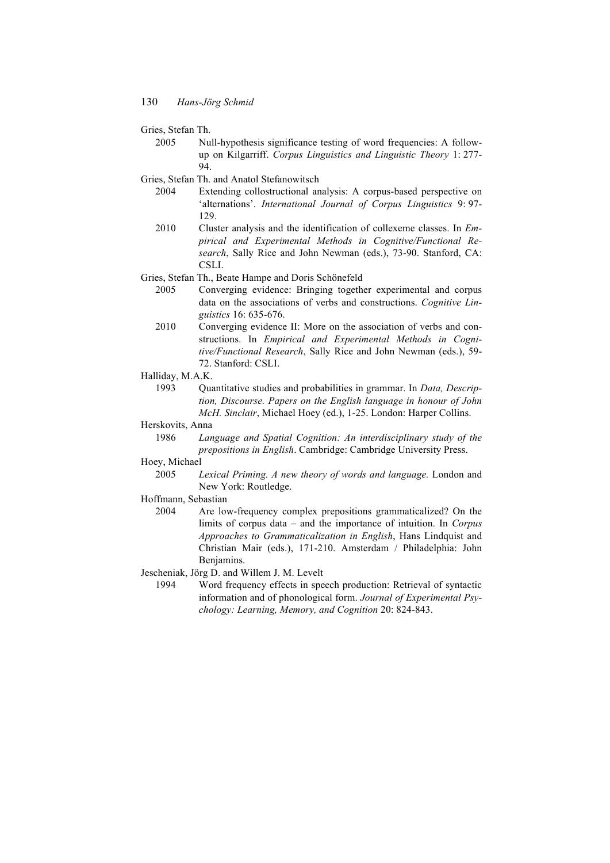- 130 *Hans-Jörg Schmid*
- Gries, Stefan Th.
	- 2005 Null-hypothesis significance testing of word frequencies: A followup on Kilgarriff. *Corpus Linguistics and Linguistic Theory* 1: 277- 94.
- Gries, Stefan Th. and Anatol Stefanowitsch
	- 2004 Extending collostructional analysis: A corpus-based perspective on 'alternations'. *International Journal of Corpus Linguistics* 9: 97- 129.
	- 2010 Cluster analysis and the identification of collexeme classes. In *Empirical and Experimental Methods in Cognitive/Functional Research*, Sally Rice and John Newman (eds.), 73-90. Stanford, CA: CSLI.
- Gries, Stefan Th., Beate Hampe and Doris Schönefeld
	- 2005 Converging evidence: Bringing together experimental and corpus data on the associations of verbs and constructions. *Cognitive Linguistics* 16: 635-676.
	- 2010 Converging evidence II: More on the association of verbs and constructions. In *Empirical and Experimental Methods in Cognitive/Functional Research*, Sally Rice and John Newman (eds.), 59- 72. Stanford: CSLI.
- Halliday, M.A.K.
	- 1993 Quantitative studies and probabilities in grammar. In *Data, Description, Discourse. Papers on the English language in honour of John McH. Sinclair*, Michael Hoey (ed.), 1-25. London: Harper Collins.
- Herskovits, Anna
	- 1986 *Language and Spatial Cognition: An interdisciplinary study of the prepositions in English*. Cambridge: Cambridge University Press.

Hoey, Michael

2005 *Lexical Priming. A new theory of words and language.* London and New York: Routledge.

Hoffmann, Sebastian

2004 Are low-frequency complex prepositions grammaticalized? On the limits of corpus data – and the importance of intuition. In *Corpus Approaches to Grammaticalization in English*, Hans Lindquist and Christian Mair (eds.), 171-210. Amsterdam / Philadelphia: John Benjamins.

Jescheniak, Jörg D. and Willem J. M. Levelt

1994 Word frequency effects in speech production: Retrieval of syntactic information and of phonological form. *Journal of Experimental Psychology: Learning, Memory, and Cognition* 20: 824-843.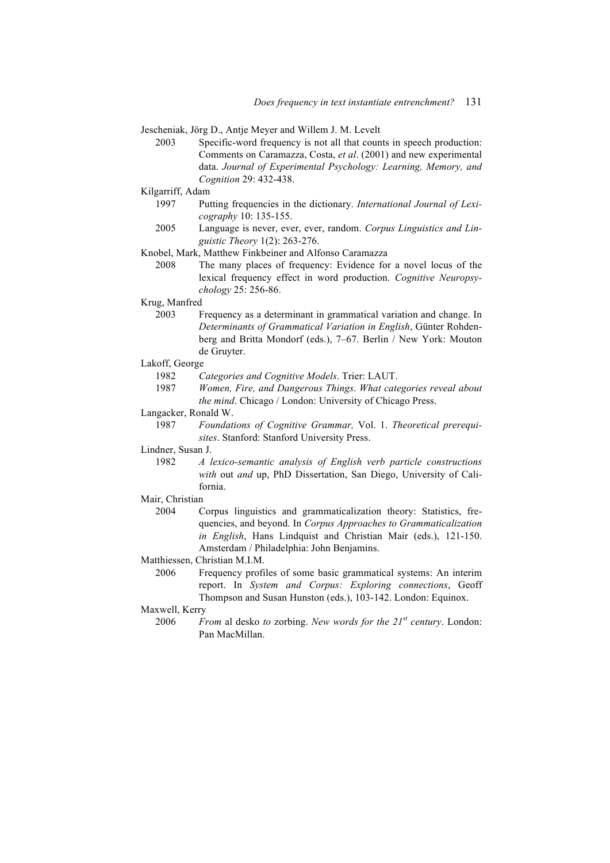- Jescheniak, Jörg D., Antje Meyer and Willem J. M. Levelt
	- 2003 Specific-word frequency is not all that counts in speech production: Comments on Caramazza, Costa, *et al*. (2001) and new experimental data. *Journal of Experimental Psychology: Learning, Memory, and Cognition* 29: 432-438.
- Kilgarriff, Adam
	- 1997 Putting frequencies in the dictionary. *International Journal of Lexicography* 10: 135-155.
	- 2005 Language is never, ever, ever, random. *Corpus Linguistics and Linguistic Theory* 1(2): 263-276.
- Knobel, Mark, Matthew Finkbeiner and Alfonso Caramazza
	- 2008 The many places of frequency: Evidence for a novel locus of the lexical frequency effect in word production. *Cognitive Neuropsychology* 25: 256-86.

#### Krug, Manfred

2003 Frequency as a determinant in grammatical variation and change. In *Determinants of Grammatical Variation in English*, Günter Rohdenberg and Britta Mondorf (eds.), 7–67. Berlin / New York: Mouton de Gruyter.

#### Lakoff, George

- 1982 *Categories and Cognitive Models*. Trier: LAUT.
- 1987 *Women, Fire, and Dangerous Things*. *What categories reveal about the mind*. Chicago / London: University of Chicago Press.
- Langacker, Ronald W.
	- 1987 *Foundations of Cognitive Grammar,* Vol. 1. *Theoretical prerequisites*. Stanford: Stanford University Press.

#### Lindner, Susan J.

1982 *A lexico-semantic analysis of English verb particle constructions with* out *and* up, PhD Dissertation, San Diego, University of California.

#### Mair, Christian

- 2004 Corpus linguistics and grammaticalization theory: Statistics, frequencies, and beyond. In *Corpus Approaches to Grammaticalization in English*, Hans Lindquist and Christian Mair (eds.), 121-150. Amsterdam / Philadelphia: John Benjamins.
- Matthiessen, Christian M.I.M.
	- 2006 Frequency profiles of some basic grammatical systems: An interim report. In *System and Corpus: Exploring connections*, Geoff Thompson and Susan Hunston (eds.), 103-142. London: Equinox.

#### Maxwell, Kerry

2006 *From* al desko *to* zorbing. *New words for the 21st century*. London: Pan MacMillan.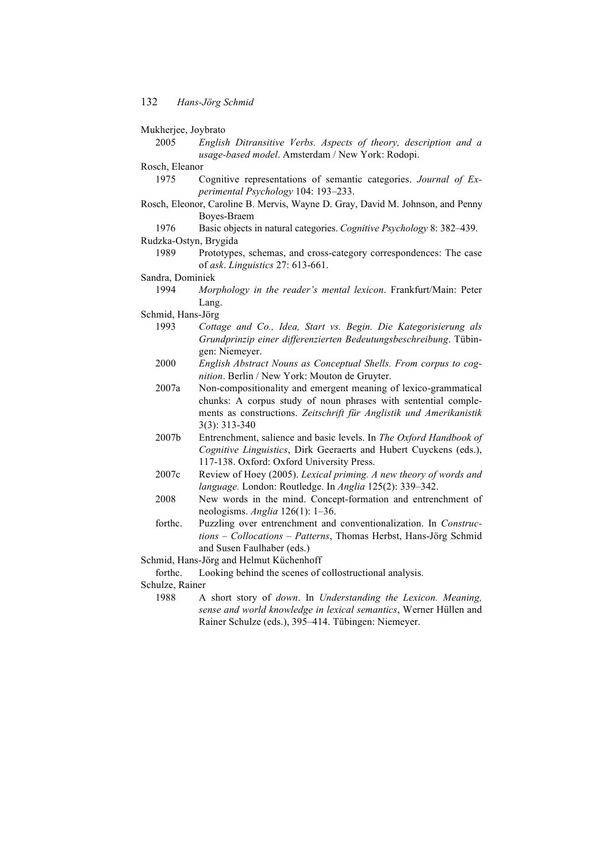# Mukherjee, Joybrato<br>2005 English

2005 *English Ditransitive Verbs. Aspects of theory, description and a usage-based model*. Amsterdam / New York: Rodopi.

#### Rosch, Eleanor

- 1975 Cognitive representations of semantic categories. *Journal of Experimental Psychology* 104: 193–233.
- Rosch, Eleonor, Caroline B. Mervis, Wayne D. Gray, David M. Johnson, and Penny Boyes-Braem
- 1976 Basic objects in natural categories. *Cognitive Psychology* 8: 382–439. Rudzka-Ostyn, Brygida
	- 1989 Prototypes, schemas, and cross-category correspondences: The case of *ask*. *Linguistics* 27: 613-661.

#### Sandra, Dominiek

- 1994 *Morphology in the reader's mental lexicon*. Frankfurt/Main: Peter Lang.
- Schmid, Hans-Jörg
	- 1993 *Cottage and Co., Idea, Start vs. Begin. Die Kategorisierung als Grundprinzip einer differenzierten Bedeutungsbeschreibung*. Tübingen: Niemeyer.
	- 2000 *English Abstract Nouns as Conceptual Shells. From corpus to cognition*. Berlin / New York: Mouton de Gruyter.
	- 2007a Non-compositionality and emergent meaning of lexico-grammatical chunks: A corpus study of noun phrases with sentential complements as constructions. *Zeitschrift für Anglistik und Amerikanistik* 3(3): 313-340
	- 2007b Entrenchment, salience and basic levels. In *The Oxford Handbook of Cognitive Linguistics*, Dirk Geeraerts and Hubert Cuyckens (eds.), 117-138. Oxford: Oxford University Press.
	- 2007c Review of Hoey (2005). *Lexical priming. A new theory of words and language.* London: Routledge. In *Anglia* 125(2): 339–342.
	- 2008 New words in the mind. Concept-formation and entrenchment of neologisms. *Anglia* 126(1): 1–36.
	- forthc. Puzzling over entrenchment and conventionalization. In *Constructions – Collocations – Patterns*, Thomas Herbst, Hans-Jörg Schmid and Susen Faulhaber (eds.)

Schmid, Hans-Jörg and Helmut Küchenhoff

forthc. Looking behind the scenes of collostructional analysis.

Schulze, Rainer

1988 A short story of *down*. In *Understanding the Lexicon. Meaning, sense and world knowledge in lexical semantics*, Werner Hüllen and Rainer Schulze (eds.), 395–414. Tübingen: Niemeyer.